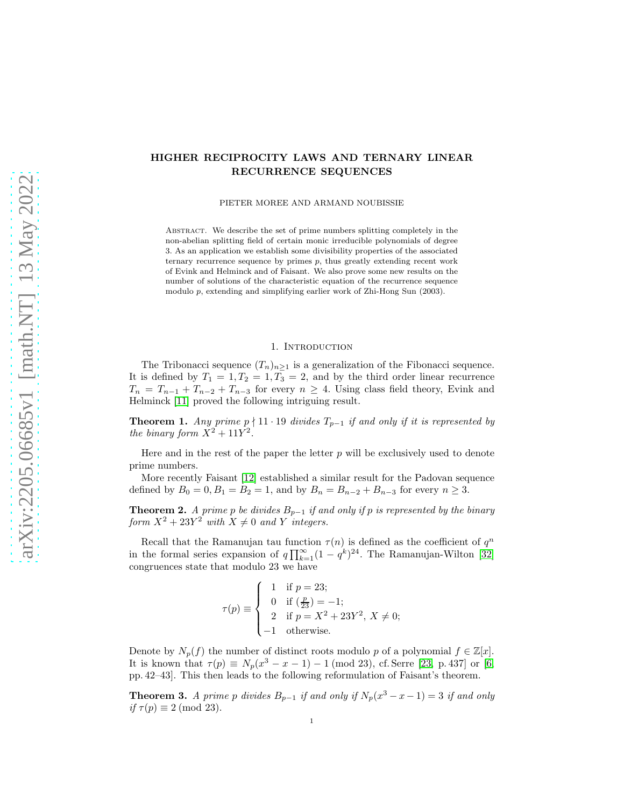# HIGHER RECIPROCITY LAWS AND TERNARY LINEAR RECURRENCE SEQUENCES

PIETER MOREE AND ARMAND NOUBISSIE

ABSTRACT. We describe the set of prime numbers splitting completely in the non-abelian splitting field of certain monic irreducible polynomials of degree 3. As an application we establish some divisibility properties of the associated ternary recurrence sequence by primes  $p$ , thus greatly extending recent work of Evink and Helminck and of Faisant. We also prove some new results on the number of solutions of the characteristic equation of the recurrence sequence modulo p, extending and simplifying earlier work of Zhi-Hong Sun (2003).

### 1. INTRODUCTION

The Tribonacci sequence  $(T_n)_{n\geq 1}$  is a generalization of the Fibonacci sequence. It is defined by  $T_1 = 1, T_2 = 1, T_3 = 2$ , and by the third order linear recurrence  $T_n = T_{n-1} + T_{n-2} + T_{n-3}$  for every  $n \geq 4$ . Using class field theory, Evink and Helminck [\[11\]](#page-17-0) proved the following intriguing result.

<span id="page-0-0"></span>**Theorem 1.** Any prime  $p \nmid 11 \cdot 19$  divides  $T_{p-1}$  if and only if it is represented by the binary form  $X^2 + 11Y^2$ .

Here and in the rest of the paper the letter  $p$  will be exclusively used to denote prime numbers.

More recently Faisant [\[12\]](#page-17-1) established a similar result for the Padovan sequence defined by  $B_0 = 0, B_1 = B_2 = 1$ , and by  $B_n = B_{n-2} + B_{n-3}$  for every  $n \ge 3$ .

<span id="page-0-2"></span>**Theorem 2.** A prime p be divides  $B_{p-1}$  if and only if p is represented by the binary form  $X^2 + 23Y^2$  with  $X \neq 0$  and Y integers.

Recall that the Ramanujan tau function  $\tau(n)$  is defined as the coefficient of  $q^n$ in the formal series expansion of  $q \prod_{k=1}^{\infty} (1 - q^k)^{24}$ . The Ramanujan-Wilton [\[32\]](#page-18-0) congruences state that modulo 23 we have

$$
\tau(p) \equiv \begin{cases}\n1 & \text{if } p = 23; \\
0 & \text{if } \left(\frac{p}{23}\right) = -1; \\
2 & \text{if } p = X^2 + 23Y^2, \ X \neq 0; \\
-1 & \text{otherwise.} \n\end{cases}
$$

Denote by  $N_p(f)$  the number of distinct roots modulo p of a polynomial  $f \in \mathbb{Z}[x]$ . It is known that  $\tau(p) \equiv N_p(x^3 - x - 1) - 1 \pmod{23}$ , cf. Serre [\[23,](#page-17-2) p. 437] or [\[6,](#page-17-3) pp. 42–43]. This then leads to the following reformulation of Faisant's theorem.

<span id="page-0-1"></span>**Theorem 3.** A prime p divides  $B_{p-1}$  if and only if  $N_p(x^3 - x - 1) = 3$  if and only if  $\tau(p) \equiv 2 \pmod{23}$ .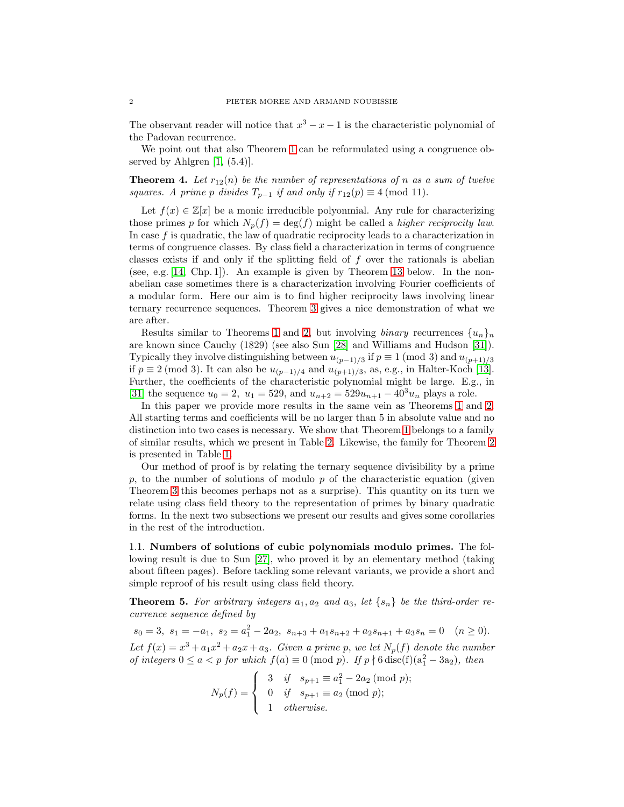The observant reader will notice that  $x^3 - x - 1$  is the characteristic polynomial of the Padovan recurrence.

We point out that also Theorem [1](#page-0-0) can be reformulated using a congruence observed by Ahlgren  $[1, (5.4)]$ .

**Theorem 4.** Let  $r_{12}(n)$  be the number of representations of n as a sum of twelve squares. A prime p divides  $T_{p-1}$  if and only if  $r_{12}(p) \equiv 4 \pmod{11}$ .

Let  $f(x) \in \mathbb{Z}[x]$  be a monic irreducible polyonmial. Any rule for characterizing those primes p for which  $N_p(f) = \deg(f)$  might be called a *higher reciprocity law*. In case  $f$  is quadratic, the law of quadratic reciprocity leads to a characterization in terms of congruence classes. By class field a characterization in terms of congruence classes exists if and only if the splitting field of f over the rationals is abelian (see, e.g. [\[14,](#page-17-5) Chp. 1]). An example is given by Theorem [13](#page-5-0) below. In the nonabelian case sometimes there is a characterization involving Fourier coefficients of a modular form. Here our aim is to find higher reciprocity laws involving linear ternary recurrence sequences. Theorem [3](#page-0-1) gives a nice demonstration of what we are after.

Results similar to Theorems [1](#page-0-0) and [2,](#page-0-2) but involving binary recurrences  $\{u_n\}_n$ are known since Cauchy (1829) (see also Sun [\[28\]](#page-18-1) and Williams and Hudson [\[31\]](#page-18-2)). Typically they involve distinguishing between  $u_{(p-1)/3}$  if  $p \equiv 1 \pmod{3}$  and  $u_{(p+1)/3}$ if  $p \equiv 2 \pmod{3}$ . It can also be  $u_{(p-1)/4}$  and  $u_{(p+1)/3}$ , as, e.g., in Halter-Koch [\[13\]](#page-17-6). Further, the coefficients of the characteristic polynomial might be large. E.g., in [\[31\]](#page-18-2) the sequence  $u_0 = 2$ ,  $u_1 = 529$ , and  $u_{n+2} = 529u_{n+1} - 40^3u_n$  plays a role.

In this paper we provide more results in the same vein as Theorems [1](#page-0-0) and [2.](#page-0-2) All starting terms and coefficients will be no larger than 5 in absolute value and no distinction into two cases is necessary. We show that Theorem [1](#page-0-0) belongs to a family of similar results, which we present in Table [2.](#page-4-0) Likewise, the family for Theorem [2](#page-0-2) is presented in Table [1.](#page-4-1)

Our method of proof is by relating the ternary sequence divisibility by a prime  $p$ , to the number of solutions of modulo  $p$  of the characteristic equation (given Theorem [3](#page-0-1) this becomes perhaps not as a surprise). This quantity on its turn we relate using class field theory to the representation of primes by binary quadratic forms. In the next two subsections we present our results and gives some corollaries in the rest of the introduction.

1.1. Numbers of solutions of cubic polynomials modulo primes. The following result is due to Sun [\[27\]](#page-18-3), who proved it by an elementary method (taking about fifteen pages). Before tackling some relevant variants, we provide a short and simple reproof of his result using class field theory.

<span id="page-1-0"></span>**Theorem 5.** For arbitrary integers  $a_1, a_2$  and  $a_3$ , let  $\{s_n\}$  be the third-order recurrence sequence defined by

 $s_0 = 3, s_1 = -a_1, s_2 = a_1^2 - 2a_2, s_{n+3} + a_1 s_{n+2} + a_2 s_{n+1} + a_3 s_n = 0 \quad (n \ge 0).$ 

Let  $f(x) = x^3 + a_1x^2 + a_2x + a_3$ . Given a prime p, we let  $N_p(f)$  denote the number of integers  $0 \le a < p$  for which  $f(a) \equiv 0 \pmod{p}$ . If  $p \nmid 6$  disc(f)( $a_1^2 - 3a_2$ ), then

$$
N_p(f) = \begin{cases} 3 & \text{if } s_{p+1} \equiv a_1^2 - 2a_2 \pmod{p}; \\ 0 & \text{if } s_{p+1} \equiv a_2 \pmod{p}; \\ 1 & \text{otherwise.} \end{cases}
$$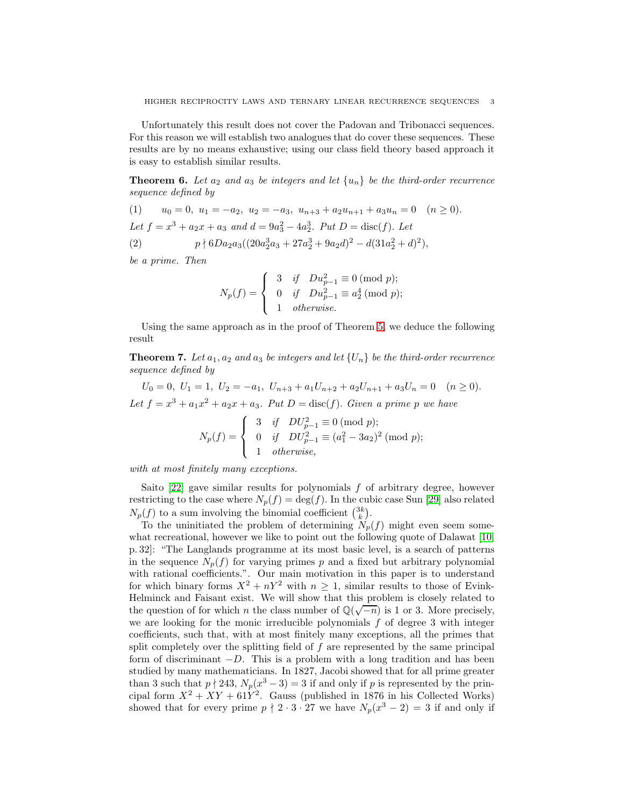Unfortunately this result does not cover the Padovan and Tribonacci sequences. For this reason we will establish two analogues that do cover these sequences. These results are by no means exhaustive; using our class field theory based approach it is easy to establish similar results.

<span id="page-2-0"></span>**Theorem 6.** Let  $a_2$  and  $a_3$  be integers and let  $\{u_n\}$  be the third-order recurrence sequence defined by

(1)  $u_0 = 0, u_1 = -a_2, u_2 = -a_3, u_{n+3} + a_2u_{n+1} + a_3u_n = 0 \quad (n \ge 0).$ Let  $f = x^3 + a_2x + a_3$  and  $d = 9a_3^2 - 4a_2^3$ . Put  $D = \text{disc}(f)$ . Let (2)  $p \nmid 6Da_2a_3((20a_2^3a_3 + 27a_2^3 + 9a_2d)^2 - d(31a_2^2 + d)^2),$ 

be a prime. Then

<span id="page-2-2"></span>
$$
N_p(f) = \begin{cases} 3 & \text{if } Du_{p-1}^2 \equiv 0 \pmod{p}; \\ 0 & \text{if } Du_{p-1}^2 \equiv a_2^4 \pmod{p}; \\ 1 & \text{otherwise}. \end{cases}
$$

Using the same approach as in the proof of Theorem [5,](#page-1-0) we deduce the following result

<span id="page-2-1"></span>**Theorem 7.** Let  $a_1, a_2$  and  $a_3$  be integers and let  $\{U_n\}$  be the third-order recurrence sequence defined by

 $U_0 = 0, U_1 = 1, U_2 = -a_1, U_{n+3} + a_1U_{n+2} + a_2U_{n+1} + a_3U_n = 0 \quad (n \ge 0).$ Let  $f = x^3 + a_1x^2 + a_2x + a_3$ . Put  $D = \text{disc}(f)$ . Given a prime p we have

$$
N_p(f) = \begin{cases} 3 & \text{if } DU_{p-1}^2 \equiv 0 \pmod{p}; \\ 0 & \text{if } DU_{p-1}^2 \equiv (a_1^2 - 3a_2)^2 \pmod{p}; \\ 1 & \text{otherwise}, \end{cases}
$$

with at most finitely many exceptions.

Saito  $[22]$  gave similar results for polynomials f of arbitrary degree, however restricting to the case where  $N_p(f) = \deg(f)$ . In the cubic case Sun [\[29\]](#page-18-4) also related  $N_p(f)$  to a sum involving the binomial coefficient  $\binom{3k}{k}$ .

To the uninitiated the problem of determining  $N_p(f)$  might even seem somewhat recreational, however we like to point out the following quote of Dalawat [\[10,](#page-17-8) p. 32]: "The Langlands programme at its most basic level, is a search of patterns in the sequence  $N_p(f)$  for varying primes p and a fixed but arbitrary polynomial with rational coefficients.". Our main motivation in this paper is to understand for which binary forms  $X^2 + nY^2$  with  $n \geq 1$ , similar results to those of Evink-Helminck and Faisant exist. We will show that this problem is closely related to the question of for which *n* the class number of  $\mathbb{Q}(\sqrt{-n})$  is 1 or 3. More precisely, we are looking for the monic irreducible polynomials  $f$  of degree 3 with integer coefficients, such that, with at most finitely many exceptions, all the primes that split completely over the splitting field of  $f$  are represented by the same principal form of discriminant  $-D$ . This is a problem with a long tradition and has been studied by many mathematicians. In 1827, Jacobi showed that for all prime greater than 3 such that  $p \nmid 243$ ,  $N_p(x^3 - 3) = 3$  if and only if p is represented by the principal form  $X^2 + XY + 61Y^2$ . Gauss (published in 1876 in his Collected Works) showed that for every prime  $p \nmid 2 \cdot 3 \cdot 27$  we have  $N_p(x^3 - 2) = 3$  if and only if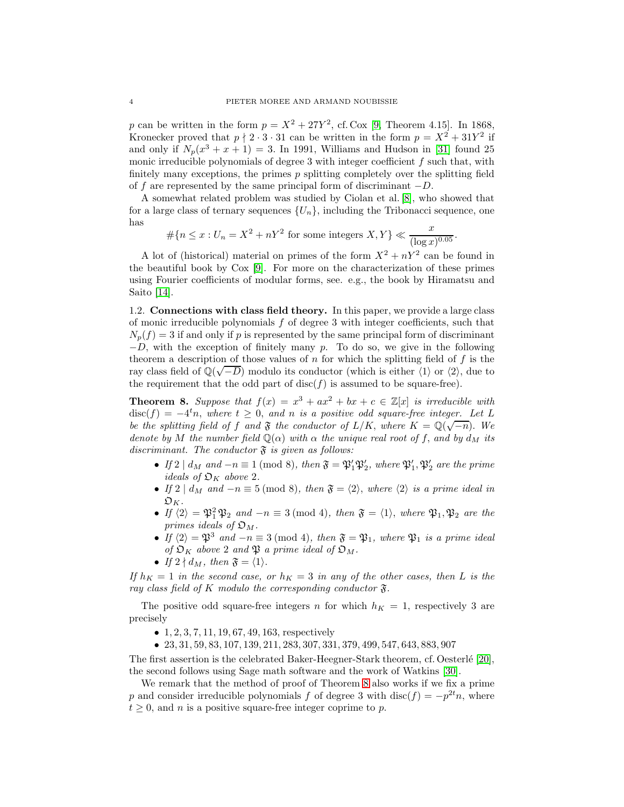p can be written in the form  $p = X^2 + 27Y^2$ , cf. Cox [\[9,](#page-17-9) Theorem 4.15]. In 1868, Kronecker proved that  $p \nmid 2 \cdot 3 \cdot 31$  can be written in the form  $p = X^2 + 31Y^2$  if and only if  $N_p(x^3 + x + 1) = 3$ . In 1991, Williams and Hudson in [\[31\]](#page-18-2) found 25 monic irreducible polynomials of degree  $3$  with integer coefficient  $f$  such that, with finitely many exceptions, the primes  $p$  splitting completely over the splitting field of f are represented by the same principal form of discriminant  $-D$ .

A somewhat related problem was studied by Ciolan et al. [\[8\]](#page-17-10), who showed that for a large class of ternary sequences  $\{U_n\}$ , including the Tribonacci sequence, one has

$$
\# \{ n \le x : U_n = X^2 + nY^2 \text{ for some integers } X, Y \} \ll \frac{x}{(\log x)^{0.05}}.
$$

A lot of (historical) material on primes of the form  $X^2 + nY^2$  can be found in the beautiful book by Cox [\[9\]](#page-17-9). For more on the characterization of these primes using Fourier coefficients of modular forms, see. e.g., the book by Hiramatsu and Saito [\[14\]](#page-17-5).

1.2. Connections with class field theory. In this paper, we provide a large class of monic irreducible polynomials f of degree 3 with integer coefficients, such that  $N_p(f) = 3$  if and only if p is represented by the same principal form of discriminant  $-D$ , with the exception of finitely many p. To do so, we give in the following theorem a description of those values of  $n$  for which the splitting field of  $f$  is the ray class field of  $\mathbb{Q}(\sqrt{-D})$  modulo its conductor (which is either  $\langle 1 \rangle$  or  $\langle 2 \rangle$ , due to the requirement that the odd part of  $disc(f)$  is assumed to be square-free).

<span id="page-3-0"></span>**Theorem 8.** Suppose that  $f(x) = x^3 + ax^2 + bx + c \in \mathbb{Z}[x]$  is irreducible with  $\text{disc}(f) = -4^t n$ , where  $t \geq 0$ , and n is a positive odd square-free integer. Let L be the splitting field of f and  $\mathfrak F$  the conductor of  $L/K$ , where  $K = \mathbb Q(\sqrt{-n})$ . We denote by M the number field  $\mathbb{Q}(\alpha)$  with  $\alpha$  the unique real root of f, and by  $d_M$  its discriminant. The conductor  $\mathfrak F$  is given as follows:

- If  $2 \mid d_M$  and  $-n \equiv 1 \pmod{8}$ , then  $\mathfrak{F} = \mathfrak{P}'_1 \mathfrak{P}'_2$ , where  $\mathfrak{P}'_1, \mathfrak{P}'_2$  are the prime ideals of  $\mathfrak{O}_K$  above 2.
- If 2 |  $d_M$  and  $-n \equiv 5 \pmod{8}$ , then  $\mathfrak{F} = \langle 2 \rangle$ , where  $\langle 2 \rangle$  is a prime ideal in  $\mathfrak{O}_K$ .
- If  $\langle 2 \rangle = \mathfrak{P}_1^2 \mathfrak{P}_2$  and  $-n \equiv 3 \pmod{4}$ , then  $\mathfrak{F} = \langle 1 \rangle$ , where  $\mathfrak{P}_1, \mathfrak{P}_2$  are the primes ideals of  $\mathfrak{O}_M$ .
- If  $\langle 2 \rangle = \mathfrak{P}^3$  and  $-n \equiv 3 \pmod{4}$ , then  $\mathfrak{F} = \mathfrak{P}_1$ , where  $\mathfrak{P}_1$  is a prime ideal of  $\mathfrak{O}_K$  above 2 and  $\mathfrak{P}$  a prime ideal of  $\mathfrak{O}_M$ .
- If  $2 \nmid d_M$ , then  $\mathfrak{F} = \langle 1 \rangle$ .

If  $h_K = 1$  in the second case, or  $h_K = 3$  in any of the other cases, then L is the ray class field of K modulo the corresponding conductor  $\mathfrak{F}.$ 

The positive odd square-free integers n for which  $h_K = 1$ , respectively 3 are precisely

- $1, 2, 3, 7, 11, 19, 67, 49, 163$ , respectively
- 23, 31, 59, 83, 107, 139, 211, 283, 307, 331, 379, 499, 547, 643, 883, 907

The first assertion is the celebrated Baker-Heegner-Stark theorem, cf. Oesterlé  $[20]$ , the second follows using Sage math software and the work of Watkins [\[30\]](#page-18-5).

We remark that the method of proof of Theorem [8](#page-3-0) also works if we fix a prime p and consider irreducible polynomials f of degree 3 with disc(f) =  $-p^{2t}n$ , where  $t \geq 0$ , and *n* is a positive square-free integer coprime to *p*.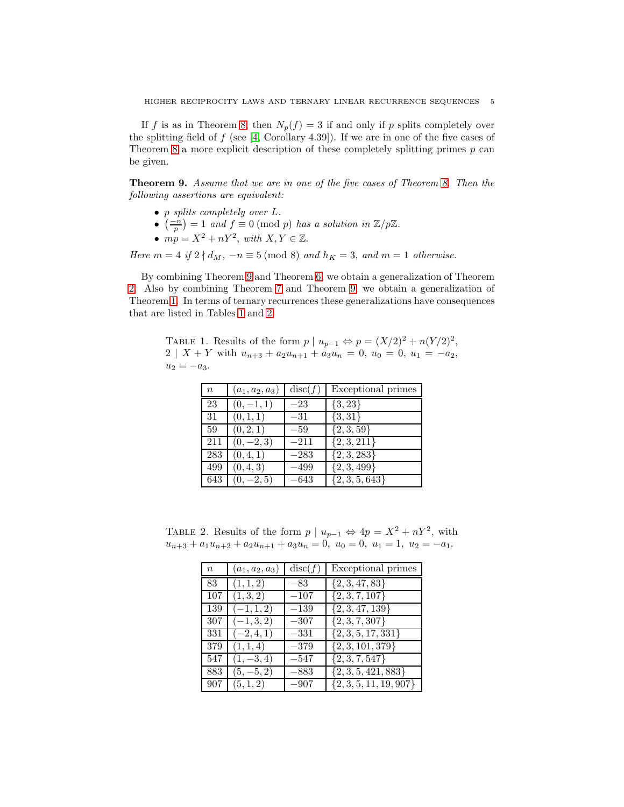If f is as in Theorem [8,](#page-3-0) then  $N_p(f) = 3$  if and only if p splits completely over the splitting field of  $f$  (see [\[4,](#page-17-12) Corollary 4.39]). If we are in one of the five cases of Theorem [8](#page-3-0) a more explicit description of these completely splitting primes  $p$  can be given.

<span id="page-4-2"></span>Theorem 9. Assume that we are in one of the five cases of Theorem [8.](#page-3-0) Then the following assertions are equivalent:

- p splits completely over L.
- $\left(\frac{-n}{p}\right) = 1$  and  $f \equiv 0 \pmod{p}$  has a solution in  $\mathbb{Z}/p\mathbb{Z}$ .
- $mp = X^2 + nY^2$ , with  $X, Y \in \mathbb{Z}$ .

Here  $m = 4$  if  $2 \nmid d_M$ ,  $-n \equiv 5 \pmod{8}$  and  $h_K = 3$ , and  $m = 1$  otherwise.

By combining Theorem [9](#page-4-2) and Theorem [6,](#page-2-0) we obtain a generalization of Theorem [2.](#page-0-2) Also by combining Theorem [7](#page-2-1) and Theorem [9,](#page-4-2) we obtain a generalization of Theorem [1.](#page-0-0) In terms of ternary recurrences these generalizations have consequences that are listed in Tables [1](#page-4-1) and [2.](#page-4-0)

TABLE 1. Results of the form  $p \mid u_{p-1} \Leftrightarrow p = (X/2)^2 + n(Y/2)^2$ ,  $2 \mid X + Y$  with  $u_{n+3} + a_2u_{n+1} + a_3u_n = 0$ ,  $u_0 = 0$ ,  $u_1 = -a_2$ ,  $u_2 = -a_3.$ 

<span id="page-4-1"></span>

| $\it{n}$ | $(a_1, a_2, a_3)$ | disc(f) | Exceptional primes |
|----------|-------------------|---------|--------------------|
| 23       | $(0,-1,1)$        | $-23$   | ${3, 23}$          |
| 31       | (0,1,1)           | $-31$   | $\{3,31\}$         |
| 59       | (0, 2, 1)         | $-59$   | $\{2,3,59\}$       |
| 211      | $(0,-2,3)$        | $-211$  | $\{2,3,211\}$      |
| 283      | (0, 4, 1)         | $-283$  | $\{2,3,283\}$      |
| 499      | (0, 4, 3)         | –499    | $\{2,3,499\}$      |
| 643      | $(0, -2, 5)$      | –643    | $\{2,3,5,643\}$    |

TABLE 2. Results of the form  $p \mid u_{p-1} \Leftrightarrow 4p = X^2 + nY^2$ , with  $u_{n+3} + a_1u_{n+2} + a_2u_{n+1} + a_3u_n = 0$ ,  $u_0 = 0$ ,  $u_1 = 1$ ,  $u_2 = -a_1$ .

<span id="page-4-0"></span>

| $\,n$ | $(a_1, a_2, a_3)$     | disc(f) | Exceptional primes         |
|-------|-----------------------|---------|----------------------------|
|       | 83 $(1,1,2)$          | $-83$   | $\{2,3,47,83\}$            |
| 107   | (1,3,2)               | $-107$  | $\{2, 3, 7, 107\}$         |
|       | $139 \mid (-1, 1, 2)$ | $-139$  | $\{2,3,47,139\}$           |
| 307   | $(-1,3,2)$            | $-307$  | $\{2, 3, 7, 307\}$         |
|       | $331 \mid (-2, 4, 1)$ | $-331$  | $\{2,3,5,17,331\}$         |
|       | $379 \mid (1,1,4)$    | $-379$  | $\{2, 3, 101, 379\}$       |
| 547   | $(1, -3, 4)$          | $-547$  | $\{2,3,7,547\}$            |
|       | 883 $(5, -5, 2)$      | $-883$  | $\{2,3,5,421,883\}$        |
|       | 907 (5,1,2)           | $-907$  | $\{2, 3, 5, 11, 19, 907\}$ |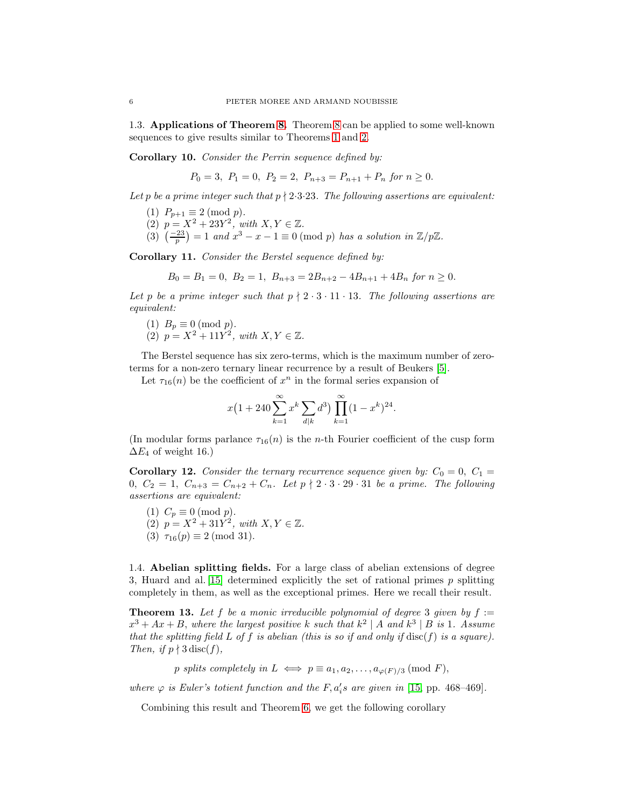1.3. Applications of Theorem [8.](#page-3-0) Theorem [8](#page-3-0) can be applied to some well-known sequences to give results similar to Theorems [1](#page-0-0) and [2.](#page-0-2)

<span id="page-5-1"></span>Corollary 10. Consider the Perrin sequence defined by:

$$
P_0 = 3
$$
,  $P_1 = 0$ ,  $P_2 = 2$ ,  $P_{n+3} = P_{n+1} + P_n$  for  $n \ge 0$ .

Let p be a prime integer such that  $p \nmid 2·3·23$ . The following assertions are equivalent:

- (1)  $P_{p+1} \equiv 2 \pmod{p}$ .
- (2)  $p = X^2 + 23Y^2$ , with  $X, Y \in \mathbb{Z}$ .
- (3)  $\left(\frac{-23}{p}\right) = 1$  and  $x^3 x 1 \equiv 0 \pmod{p}$  has a solution in  $\mathbb{Z}/p\mathbb{Z}$ .

<span id="page-5-2"></span>Corollary 11. Consider the Berstel sequence defined by:

$$
B_0 = B_1 = 0, B_2 = 1, B_{n+3} = 2B_{n+2} - 4B_{n+1} + 4B_n \text{ for } n \ge 0.
$$

Let p be a prime integer such that  $p \nmid 2 \cdot 3 \cdot 11 \cdot 13$ . The following assertions are equivalent:

(1)  $B_p \equiv 0 \pmod{p}$ . (2)  $p = X^2 + 11Y^2$ , with  $X, Y \in \mathbb{Z}$ .

The Berstel sequence has six zero-terms, which is the maximum number of zeroterms for a non-zero ternary linear recurrence by a result of Beukers [\[5\]](#page-17-13).

Let  $\tau_{16}(n)$  be the coefficient of  $x^n$  in the formal series expansion of

$$
x(1+240\sum_{k=1}^{\infty} x^{k} \sum_{d|k} d^{3}) \prod_{k=1}^{\infty} (1-x^{k})^{24}.
$$

(In modular forms parlance  $\tau_{16}(n)$  is the *n*-th Fourier coefficient of the cusp form  $\Delta E_4$  of weight 16.)

<span id="page-5-3"></span>**Corollary 12.** Consider the ternary recurrence sequence given by:  $C_0 = 0$ ,  $C_1 =$ 0,  $C_2 = 1$ ,  $C_{n+3} = C_{n+2} + C_n$ . Let  $p \nmid 2 \cdot 3 \cdot 29 \cdot 31$  be a prime. The following assertions are equivalent:

(1)  $C_p \equiv 0 \pmod{p}$ . (2)  $p = X^2 + 31Y^2$ , with  $X, Y \in \mathbb{Z}$ . (3)  $\tau_{16}(p) \equiv 2 \pmod{31}$ .

1.4. Abelian splitting fields. For a large class of abelian extensions of degree 3, Huard and al. [\[15\]](#page-17-14) determined explicitly the set of rational primes  $p$  splitting completely in them, as well as the exceptional primes. Here we recall their result.

<span id="page-5-0"></span>**Theorem 13.** Let f be a monic irreducible polynomial of degree 3 given by  $f :=$  $x^3 + Ax + B$ , where the largest positive k such that  $k^2 |A$  and  $k^3 |B$  is 1. Assume that the splitting field L of f is abelian (this is so if and only if  $\text{disc}(f)$  is a square). Then, if  $p \nmid 3$  disc(f),

p splits completely in  $L \iff p \equiv a_1, a_2, \ldots, a_{\varphi(F)/3} \pmod{F}$ ,

where  $\varphi$  is Euler's totient function and the F,  $a_i$ 's are given in [\[15,](#page-17-14) pp. 468–469].

Combining this result and Theorem [6,](#page-2-0) we get the following corollary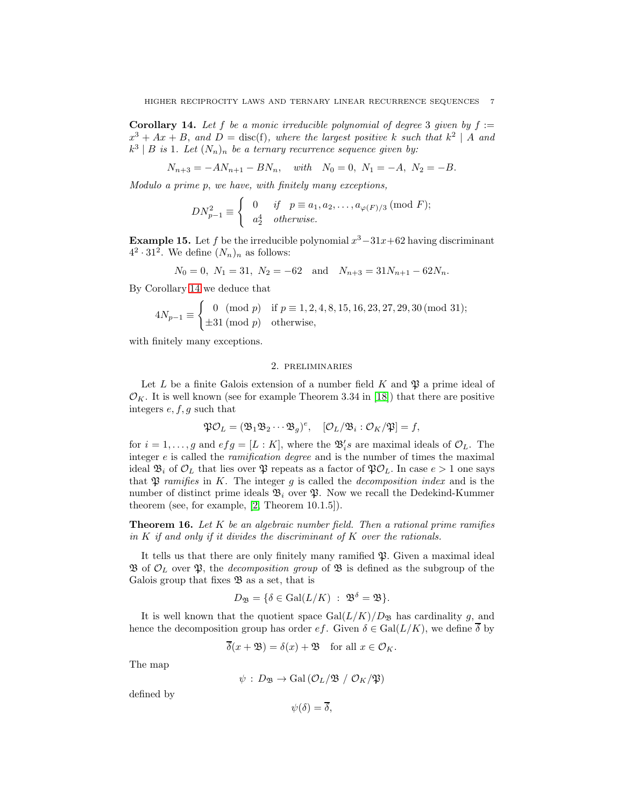<span id="page-6-0"></span>**Corollary 14.** Let f be a monic irreducible polynomial of degree 3 given by  $f :=$  $x^3 + Ax + B$ , and  $D = \text{disc}(f)$ , where the largest positive k such that  $k^2 | A$  and  $k^3 \mid B$  is 1. Let  $(N_n)_n$  be a ternary recurrence sequence given by:

 $N_{n+3} = -AN_{n+1} - BN_n$ , with  $N_0 = 0$ ,  $N_1 = -A$ ,  $N_2 = -B$ .

Modulo a prime p, we have, with finitely many exceptions,

$$
DN_{p-1}^2 \equiv \begin{cases} 0 & \text{if } p \equiv a_1, a_2, \dots, a_{\varphi(F)/3} \pmod{F}; \\ a_2^4 & otherwise. \end{cases}
$$

**Example 15.** Let f be the irreducible polynomial  $x^3 - 31x + 62$  having discriminant  $4^2 \cdot 31^2$ . We define  $(N_n)_n$  as follows:

$$
N_0 = 0
$$
,  $N_1 = 31$ ,  $N_2 = -62$  and  $N_{n+3} = 31N_{n+1} - 62N_n$ .

By Corollary [14](#page-6-0) we deduce that

$$
4N_{p-1} \equiv \begin{cases} 0 \pmod{p} & \text{if } p \equiv 1, 2, 4, 8, 15, 16, 23, 27, 29, 30 \pmod{31}; \\ \pm 31 \pmod{p} & \text{otherwise}, \end{cases}
$$

with finitely many exceptions.

### 2. preliminaries

Let L be a finite Galois extension of a number field K and  $\mathfrak P$  a prime ideal of  $\mathcal{O}_K$ . It is well known (see for example Theorem 3.34 in [\[18\]](#page-17-15)) that there are positive integers  $e, f, g$  such that

$$
\mathfrak{PO}_L = (\mathfrak{B}_1 \mathfrak{B}_2 \cdots \mathfrak{B}_g)^e, \quad [\mathcal{O}_L / \mathfrak{B}_i : \mathcal{O}_K / \mathfrak{P}] = f,
$$

for  $i = 1, \ldots, g$  and  $efg = [L : K]$ , where the  $\mathfrak{B}'_i s$  are maximal ideals of  $\mathcal{O}_L$ . The integer e is called the *ramification degree* and is the number of times the maximal ideal  $\mathfrak{B}_i$  of  $\mathcal{O}_L$  that lies over  $\mathfrak{P}$  repeats as a factor of  $\mathfrak{PO}_L$ . In case  $e > 1$  one says that  $\mathfrak P$  ramifies in K. The integer g is called the *decomposition index* and is the number of distinct prime ideals  $\mathfrak{B}_i$  over  $\mathfrak{P}$ . Now we recall the Dedekind-Kummer theorem (see, for example, [\[2,](#page-17-16) Theorem 10.1.5]).

**Theorem 16.** Let  $K$  be an algebraic number field. Then a rational prime ramifies in  $K$  if and only if it divides the discriminant of  $K$  over the rationals.

It tells us that there are only finitely many ramified  $\mathfrak{P}$ . Given a maximal ideal  $\mathfrak B$  of  $\mathcal O_L$  over  $\mathfrak P$ , the *decomposition group* of  $\mathfrak B$  is defined as the subgroup of the Galois group that fixes  $\mathfrak{B}$  as a set, that is

$$
D_{\mathfrak{B}} = \{ \delta \in \mathrm{Gal}(L/K) \; : \; {\mathfrak{B}}^{\delta} = {\mathfrak{B}} \}.
$$

It is well known that the quotient space  $Gal(L/K)/D_{\mathfrak{B}}$  has cardinality g, and hence the decomposition group has order  $ef$ . Given  $\delta \in \text{Gal}(L/K)$ , we define  $\overline{\delta}$  by

$$
\overline{\delta}(x+\mathfrak{B}) = \delta(x) + \mathfrak{B} \quad \text{for all } x \in \mathcal{O}_K.
$$

The map

$$
\psi : D_{\mathfrak{B}} \to \text{Gal}(\mathcal{O}_L/\mathfrak{B} / \mathcal{O}_K/\mathfrak{P})
$$

defined by

 $\psi(\delta) = \overline{\delta},$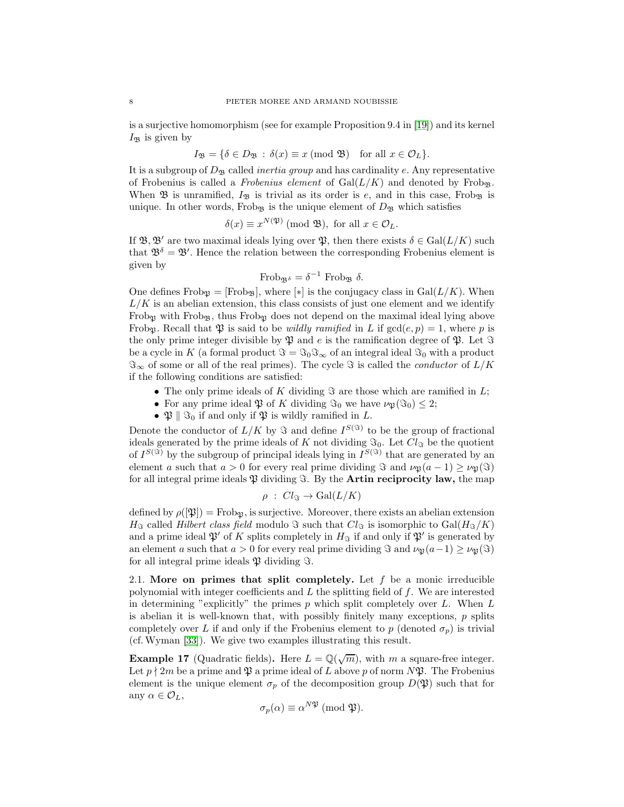is a surjective homomorphism (see for example Proposition 9.4 in [\[19\]](#page-17-17)) and its kernel  $I_{\mathfrak{B}}$  is given by

$$
I_{\mathfrak{B}} = \{ \delta \in D_{\mathfrak{B}} : \delta(x) \equiv x \pmod{\mathfrak{B}} \text{ for all } x \in \mathcal{O}_L \}.
$$

It is a subgroup of  $D_{\mathfrak{B}}$  called *inertia group* and has cardinality e. Any representative of Frobenius is called a Frobenius element of  $Gal(L/K)$  and denoted by Frobg. When  $\mathfrak B$  is unramified,  $I_{\mathfrak B}$  is trivial as its order is e, and in this case, Frob<sub> $\mathfrak B$ </sub> is unique. In other words, Frob<sub>B</sub> is the unique element of  $D_{\mathcal{B}}$  which satisfies

$$
\delta(x) \equiv x^{N(\mathfrak{P})} \pmod{\mathfrak{B}}, \text{ for all } x \in \mathcal{O}_L.
$$

If  $\mathfrak{B}, \mathfrak{B}'$  are two maximal ideals lying over  $\mathfrak{P}$ , then there exists  $\delta \in \text{Gal}(L/K)$  such that  $\mathfrak{B}^{\delta} = \mathfrak{B}'$ . Hence the relation between the corresponding Frobenius element is given by

Frob<sub>$$
\mathfrak{B}^{\delta}
$$</sub> =  $\delta^{-1}$  Frob <sub>$\mathfrak{B}$</sub>   $\delta$ .

One defines Frob<sub> $\mathfrak{B} = [\text{Frob}_{\mathfrak{B}}],$  where [ $*$ ] is the conjugacy class in Gal( $L/K$ ). When</sub>  $L/K$  is an abelian extension, this class consists of just one element and we identify Frob<sub>p</sub> with Frob<sub>p</sub>, thus Frob<sub>p</sub> does not depend on the maximal ideal lying above Frob<sub>p</sub>. Recall that  $\mathfrak P$  is said to be *wildly ramified* in L if  $gcd(e, p) = 1$ , where p is the only prime integer divisible by  $\mathfrak P$  and e is the ramification degree of  $\mathfrak P$ . Let  $\Im$ be a cycle in K (a formal product  $\Im = \Im_0 \Im_{\infty}$  of an integral ideal  $\Im_0$  with a product  $\Im_{\infty}$  of some or all of the real primes). The cycle  $\Im$  is called the *conductor* of  $L/K$ if the following conditions are satisfied:

- The only prime ideals of K dividing  $\Im$  are those which are ramified in L;
- For any prime ideal  $\mathfrak P$  of K dividing  $\mathfrak{S}_0$  we have  $\nu_{\mathfrak P}(\mathfrak{S}_0) \leq 2$ ;
- $\mathfrak{P} \parallel \mathfrak{S}_0$  if and only if  $\mathfrak{P}$  is wildly ramified in L.

Denote the conductor of  $L/K$  by  $\Im$  and define  $I^{S(\Im)}$  to be the group of fractional ideals generated by the prime ideals of K not dividing  $\Im_0$ . Let  $Cl_{\Im}$  be the quotient of  $I^{S(\Im)}$  by the subgroup of principal ideals lying in  $I^{S(\Im)}$  that are generated by an element a such that  $a > 0$  for every real prime dividing  $\Im$  and  $\nu_{\mathfrak{B}}(a-1) \geq \nu_{\mathfrak{B}}(\Im)$ for all integral prime ideals  $\mathfrak P$  dividing  $\mathfrak F$ . By the **Artin reciprocity law**, the map

$$
\rho \; : \; Cl_{\mathfrak{S}} \to \mathrm{Gal}(L/K)
$$

defined by  $\rho(\mathfrak{P}) = \text{Frob}_{\mathfrak{P}}$ , is surjective. Moreover, there exists an abelian extension  $H_{\Im}$  called Hilbert class field modulo  $\Im$  such that  $Cl_{\Im}$  is isomorphic to  $Gal(H_{\Im}/K)$ and a prime ideal  $\mathfrak{P}'$  of K splits completely in  $H_{\mathfrak{F}}$  if and only if  $\mathfrak{P}'$  is generated by an element a such that  $a > 0$  for every real prime dividing  $\Im$  and  $\nu_{\mathfrak{P}}(a-1) \geq \nu_{\mathfrak{P}}(\Im)$ for all integral prime ideals  $\mathfrak P$  dividing  $\Im$ .

2.1. More on primes that split completely. Let  $f$  be a monic irreducible polynomial with integer coefficients and  $L$  the splitting field of  $f$ . We are interested in determining "explicitly" the primes  $p$  which split completely over  $L$ . When  $L$ is abelian it is well-known that, with possibly finitely many exceptions, p splits completely over L if and only if the Frobenius element to p (denoted  $\sigma_p$ ) is trivial (cf.Wyman [\[33\]](#page-18-6)). We give two examples illustrating this result.

**Example 17** (Quadratic fields). Here  $L = \mathbb{Q}(\sqrt{m})$ , with m a square-free integer. Let  $p \nmid 2m$  be a prime and  $\mathfrak P$  a prime ideal of L above p of norm  $N\mathfrak P$ . The Frobenius element is the unique element  $\sigma_p$  of the decomposition group  $D(\mathfrak{P})$  such that for any  $\alpha \in \mathcal{O}_L$ ,

$$
\sigma_p(\alpha) \equiv \alpha^{N\mathfrak{P}} \; (\text{mod } \mathfrak{P}).
$$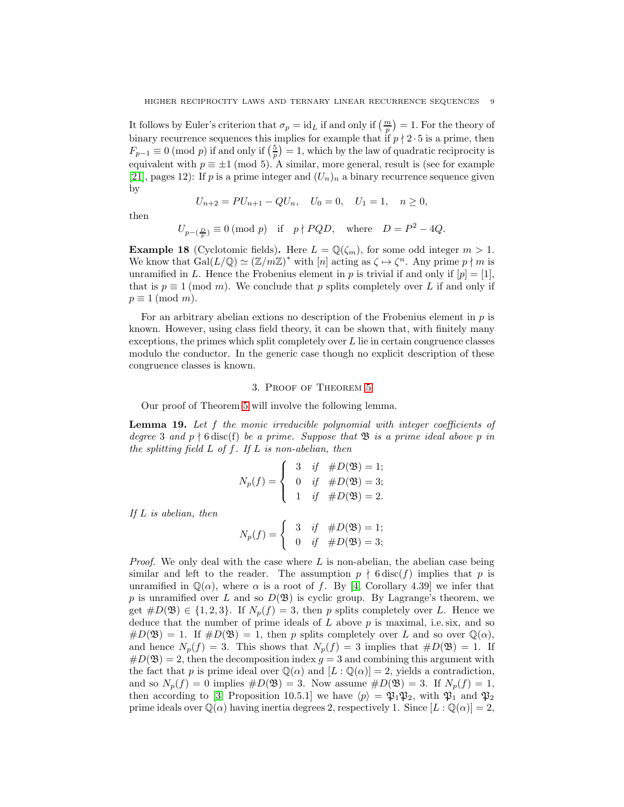It follows by Euler's criterion that  $\sigma_p = id_L$  if and only if  $\left(\frac{m}{p}\right) = 1$ . For the theory of binary recurrence sequences this implies for example that if  $p \nmid 2 \cdot 5$  is a prime, then  $F_{p-1} \equiv 0 \pmod{p}$  if and only if  $\left(\frac{5}{p}\right) = 1$ , which by the law of quadratic reciprocity is equivalent with  $p \equiv \pm 1 \pmod{5}$ . A similar, more general, result is (see for example [\[21\]](#page-17-18), pages 12): If p is a prime integer and  $(U_n)_n$  a binary recurrence sequence given by

$$
U_{n+2} = PU_{n+1} - QU_n, \quad U_0 = 0, \quad U_1 = 1, \quad n \ge 0,
$$

then

$$
U_{p-(\frac{D}{p})} \equiv 0 \pmod{p} \quad \text{if} \quad p \nmid PQD, \quad \text{where} \quad D = P^2 - 4Q.
$$

**Example 18** (Cyclotomic fields). Here  $L = \mathbb{Q}(\zeta_m)$ , for some odd integer  $m > 1$ . We know that  $Gal(L/\mathbb{Q}) \simeq (\mathbb{Z}/m\mathbb{Z})^*$  with  $[n]$  acting as  $\zeta \mapsto \zeta^n$ . Any prime  $p \nmid m$  is unramified in L. Hence the Frobenius element in p is trivial if and only if  $[p] = [1]$ , that is  $p \equiv 1 \pmod{m}$ . We conclude that p splits completely over L if and only if  $p \equiv 1 \pmod{m}$ .

For an arbitrary abelian extions no description of the Frobenius element in  $p$  is known. However, using class field theory, it can be shown that, with finitely many exceptions, the primes which split completely over  $L$  lie in certain congruence classes modulo the conductor. In the generic case though no explicit description of these congruence classes is known.

### 3. Proof of Theorem [5](#page-1-0)

Our proof of Theorem [5](#page-1-0) will involve the following lemma.

<span id="page-8-0"></span>**Lemma 19.** Let  $f$  the monic irreducible polynomial with integer coefficients of degree 3 and  $p \nmid 6$  disc(f) be a prime. Suppose that  $\mathfrak{B}$  is a prime ideal above p in the splitting field  $L$  of  $f$ . If  $L$  is non-abelian, then

$$
N_p(f) = \begin{cases} 3 & \text{if } \#D(\mathfrak{B}) = 1; \\ 0 & \text{if } \#D(\mathfrak{B}) = 3; \\ 1 & \text{if } \#D(\mathfrak{B}) = 2. \end{cases}
$$

If L is abelian, then

 $N_p(f) = \begin{cases} 3 & \text{if } \#D(\mathfrak{B}) = 1; \\ 0 & \text{if } \#D(\mathfrak{B}) = 2. \end{cases}$ 0 if  $#D(\mathfrak{B}) = 3;$ 

*Proof.* We only deal with the case where  $L$  is non-abelian, the abelian case being similar and left to the reader. The assumption  $p \nmid 6 \text{disc}(f)$  implies that p is unramified in  $\mathbb{Q}(\alpha)$ , where  $\alpha$  is a root of f. By [\[4,](#page-17-12) Corollary 4.39] we infer that p is unramified over L and so  $D(\mathfrak{B})$  is cyclic group. By Lagrange's theorem, we get  $\#D(\mathfrak{B}) \in \{1,2,3\}$ . If  $N_p(f) = 3$ , then p splits completely over L. Hence we deduce that the number of prime ideals of  $L$  above  $p$  is maximal, i.e. six, and so  $\#D(\mathfrak{B})=1$ . If  $\#D(\mathfrak{B})=1$ , then p splits completely over L and so over  $\mathbb{Q}(\alpha)$ , and hence  $N_p(f) = 3$ . This shows that  $N_p(f) = 3$  implies that  $\#D(\mathfrak{B}) = 1$ . If  $\#D(\mathfrak{B})=2$ , then the decomposition index  $g=3$  and combining this argument with the fact that p is prime ideal over  $\mathbb{Q}(\alpha)$  and  $[L : \mathbb{Q}(\alpha)] = 2$ , yields a contradiction, and so  $N_p(f) = 0$  implies  $\#D(\mathfrak{B}) = 3$ . Now assume  $\#D(\mathfrak{B}) = 3$ . If  $N_p(f) = 1$ , then according to [\[3,](#page-17-19) Proposition 10.5.1] we have  $\langle p \rangle = \mathfrak{P}_1 \mathfrak{P}_2$ , with  $\mathfrak{P}_1$  and  $\mathfrak{P}_2$ prime ideals over  $\mathbb{Q}(\alpha)$  having inertia degrees 2, respectively 1. Since  $[L : \mathbb{Q}(\alpha)] = 2$ ,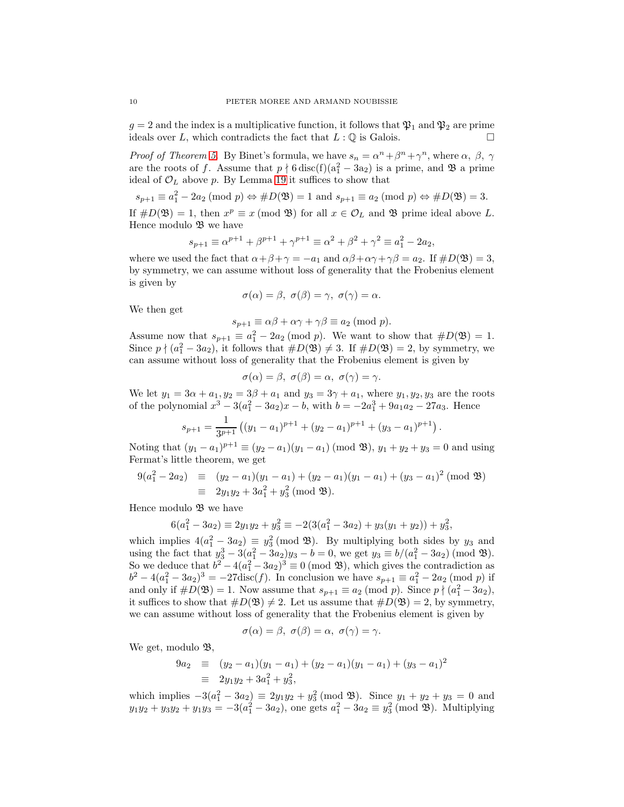$g = 2$  and the index is a multiplicative function, it follows that  $\mathfrak{P}_1$  and  $\mathfrak{P}_2$  are prime ideals over L, which contradicts the fact that  $L : \mathbb{Q}$  is Galois.

*Proof of Theorem [5.](#page-1-0)* By Binet's formula, we have  $s_n = \alpha^n + \beta^n + \gamma^n$ , where  $\alpha$ ,  $\beta$ ,  $\gamma$ are the roots of f. Assume that  $p \nmid 6 \text{ disc}(f)(a_1^2 - 3a_2)$  is a prime, and  $\mathfrak{B}$  a prime ideal of  $\mathcal{O}_L$  above p. By Lemma [19](#page-8-0) it suffices to show that

$$
s_{p+1} \equiv a_1^2 - 2a_2 \pmod{p} \Leftrightarrow \#D(\mathfrak{B}) = 1
$$
 and  $s_{p+1} \equiv a_2 \pmod{p} \Leftrightarrow \#D(\mathfrak{B}) = 3$ .

If  $\#D(\mathfrak{B})=1$ , then  $x^p \equiv x \pmod{\mathfrak{B}}$  for all  $x \in \mathcal{O}_L$  and  $\mathfrak{B}$  prime ideal above L. Hence modulo  $\mathfrak{B}$  we have

$$
s_{p+1} \equiv \alpha^{p+1} + \beta^{p+1} + \gamma^{p+1} \equiv \alpha^2 + \beta^2 + \gamma^2 \equiv a_1^2 - 2a_2,
$$

where we used the fact that  $\alpha + \beta + \gamma = -a_1$  and  $\alpha\beta + \alpha\gamma + \gamma\beta = a_2$ . If  $\#D(\mathfrak{B}) = 3$ , by symmetry, we can assume without loss of generality that the Frobenius element is given by

$$
\sigma(\alpha) = \beta, \ \sigma(\beta) = \gamma, \ \sigma(\gamma) = \alpha.
$$

We then get

$$
s_{p+1} \equiv \alpha \beta + \alpha \gamma + \gamma \beta \equiv a_2 \; (\text{mod } p).
$$

Assume now that  $s_{p+1} \equiv a_1^2 - 2a_2 \pmod{p}$ . We want to show that  $\#D(\mathfrak{B}) = 1$ . Since  $p \nmid (a_1^2 - 3a_2)$ , it follows that  $\#D(\mathfrak{B}) \neq 3$ . If  $\#D(\mathfrak{B}) = 2$ , by symmetry, we can assume without loss of generality that the Frobenius element is given by

$$
\sigma(\alpha)=\beta, \ \sigma(\beta)=\alpha, \ \sigma(\gamma)=\gamma.
$$

We let  $y_1 = 3\alpha + a_1, y_2 = 3\beta + a_1$  and  $y_3 = 3\gamma + a_1$ , where  $y_1, y_2, y_3$  are the roots of the polynomial  $x^3 - 3(a_1^2 - 3a_2)x - b$ , with  $b = -2a_1^3 + 9a_1a_2 - 27a_3$ . Hence

$$
s_{p+1} = \frac{1}{3^{p+1}} ((y_1 - a_1)^{p+1} + (y_2 - a_1)^{p+1} + (y_3 - a_1)^{p+1}).
$$

Noting that  $(y_1 - a_1)^{p+1} \equiv (y_2 - a_1)(y_1 - a_1) \pmod{\mathfrak{B}}$ ,  $y_1 + y_2 + y_3 = 0$  and using Fermat's little theorem, we get

$$
9(a_1^2 - 2a_2) \equiv (y_2 - a_1)(y_1 - a_1) + (y_2 - a_1)(y_1 - a_1) + (y_3 - a_1)^2 \pmod{2}
$$
  

$$
\equiv 2y_1y_2 + 3a_1^2 + y_3^2 \pmod{2}.
$$

Hence modulo  $\mathfrak{B}$  we have

$$
6(a_1^2 - 3a_2) \equiv 2y_1y_2 + y_3^2 \equiv -2(3(a_1^2 - 3a_2) + y_3(y_1 + y_2)) + y_3^2,
$$

which implies  $4(a_1^2 - 3a_2) \equiv y_3^2 \pmod{3}$ . By multiplying both sides by  $y_3$  and using the fact that  $y_3^3 - 3(a_1^2 - 3a_2)y_3 - b = 0$ , we get  $y_3 \equiv b/(a_1^2 - 3a_2) \pmod{3}$ . So we deduce that  $b^2 - 4(a_1^2 - 3a_2)^3 \equiv 0 \pmod{3}$ , which gives the contradiction as  $b^2 - 4(a_1^2 - 3a_2)^3 = -27 \text{disc}(f)$ . In conclusion we have  $s_{p+1} \equiv a_1^2 - 2a_2 \pmod{p}$  if and only if  $\#D(\mathfrak{B})=1$ . Now assume that  $s_{p+1} \equiv a_2 \pmod{p}$ . Since  $p \nmid (a_1^2 - 3a_2)$ , it suffices to show that  $\#D(\mathfrak{B})\neq 2$ . Let us assume that  $\#D(\mathfrak{B})=2$ , by symmetry, we can assume without loss of generality that the Frobenius element is given by

$$
\sigma(\alpha)=\beta, \,\, \sigma(\beta)=\alpha, \,\, \sigma(\gamma)=\gamma.
$$

We get, modulo  $\mathfrak{B}$ ,

$$
9a_2 \equiv (y_2 - a_1)(y_1 - a_1) + (y_2 - a_1)(y_1 - a_1) + (y_3 - a_1)^2
$$
  

$$
\equiv 2y_1y_2 + 3a_1^2 + y_3^2,
$$

which implies  $-3(a_1^2 - 3a_2) \equiv 2y_1y_2 + y_3^2 \pmod{3}$ . Since  $y_1 + y_2 + y_3 = 0$  and  $y_1y_2 + y_3y_2 + y_1y_3 = -3(a_1^2 - 3a_2)$ , one gets  $a_1^2 - 3a_2 \equiv y_3^2 \pmod{3}$ . Multiplying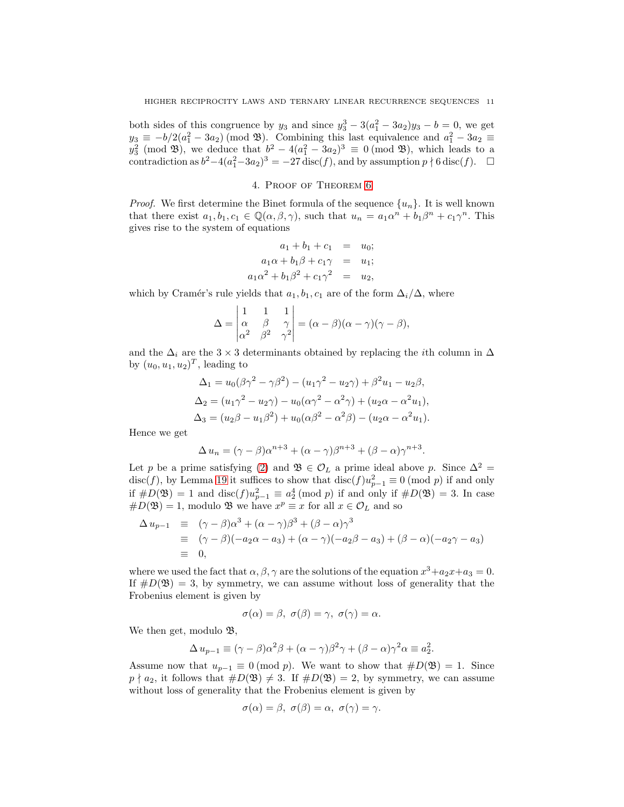both sides of this congruence by  $y_3$  and since  $y_3^3 - 3(a_1^2 - 3a_2)y_3 - b = 0$ , we get  $y_3 \equiv -b/2(a_1^2 - 3a_2) \pmod{\mathfrak{B}}$ . Combining this last equivalence and  $a_1^2 - 3a_2 \equiv$  $y_3^2 \pmod{3}$ , we deduce that  $b^2 - 4(a_1^2 - 3a_2)^3 \equiv 0 \pmod{3}$ , which leads to a contradiction as  $b^2-4(a_1^2-3a_2)^3=-27$  disc(f), and by assumption  $p \nmid 6$  disc(f).  $\Box$ 

### 4. Proof of Theorem [6](#page-2-0)

*Proof.* We first determine the Binet formula of the sequence  $\{u_n\}$ . It is well known that there exist  $a_1, b_1, c_1 \in \mathbb{Q}(\alpha, \beta, \gamma)$ , such that  $u_n = a_1 \alpha^n + b_1 \beta^n + c_1 \gamma^n$ . This gives rise to the system of equations

$$
a_1 + b_1 + c_1 = u_0;
$$
  
\n
$$
a_1\alpha + b_1\beta + c_1\gamma = u_1;
$$
  
\n
$$
a_1\alpha^2 + b_1\beta^2 + c_1\gamma^2 = u_2,
$$

which by Cramér's rule yields that  $a_1, b_1, c_1$  are of the form  $\Delta_i/\Delta$ , where

$$
\Delta = \begin{vmatrix} 1 & 1 & 1 \\ \alpha & \beta & \gamma \\ \alpha^2 & \beta^2 & \gamma^2 \end{vmatrix} = (\alpha - \beta)(\alpha - \gamma)(\gamma - \beta),
$$

and the  $\Delta_i$  are the 3 × 3 determinants obtained by replacing the *i*th column in  $\Delta$ by  $(u_0, u_1, u_2)^T$ , leading to

$$
\Delta_1 = u_0(\beta \gamma^2 - \gamma \beta^2) - (u_1 \gamma^2 - u_2 \gamma) + \beta^2 u_1 - u_2 \beta,
$$
  
\n
$$
\Delta_2 = (u_1 \gamma^2 - u_2 \gamma) - u_0(\alpha \gamma^2 - \alpha^2 \gamma) + (u_2 \alpha - \alpha^2 u_1),
$$
  
\n
$$
\Delta_3 = (u_2 \beta - u_1 \beta^2) + u_0(\alpha \beta^2 - \alpha^2 \beta) - (u_2 \alpha - \alpha^2 u_1).
$$

Hence we get

$$
\Delta u_n = (\gamma - \beta)\alpha^{n+3} + (\alpha - \gamma)\beta^{n+3} + (\beta - \alpha)\gamma^{n+3}.
$$

Let p be a prime satisfying [\(2\)](#page-2-2) and  $\mathfrak{B} \in \mathcal{O}_L$  a prime ideal above p. Since  $\Delta^2 =$ disc(f), by Lemma [19](#page-8-0) it suffices to show that  $\text{disc}(f)u_{p-1}^2 \equiv 0 \pmod{p}$  if and only if  $\#D(\mathfrak{B}) = 1$  and  $\text{disc}(f)u_{p-1}^2 \equiv a_2^4 \pmod{p}$  if and only if  $\#D(\mathfrak{B}) = 3$ . In case  $\#D(\mathfrak{B})=1$ , modulo  $\mathfrak{B}$  we have  $x^p \equiv x$  for all  $x \in \mathcal{O}_L$  and so

$$
\begin{array}{rcl}\n\Delta u_{p-1} & \equiv & (\gamma - \beta)\alpha^3 + (\alpha - \gamma)\beta^3 + (\beta - \alpha)\gamma^3 \\
& \equiv & (\gamma - \beta)(-a_2\alpha - a_3) + (\alpha - \gamma)(-a_2\beta - a_3) + (\beta - \alpha)(-a_2\gamma - a_3) \\
& \equiv & 0,\n\end{array}
$$

where we used the fact that  $\alpha, \beta, \gamma$  are the solutions of the equation  $x^3 + a_2x + a_3 = 0$ . If  $\#D(\mathfrak{B})=3$ , by symmetry, we can assume without loss of generality that the Frobenius element is given by

$$
\sigma(\alpha) = \beta, \ \sigma(\beta) = \gamma, \ \sigma(\gamma) = \alpha.
$$

We then get, modulo  $\mathfrak{B},$ 

$$
\Delta u_{p-1} \equiv (\gamma - \beta)\alpha^2 \beta + (\alpha - \gamma)\beta^2 \gamma + (\beta - \alpha)\gamma^2 \alpha \equiv a_2^2.
$$

Assume now that  $u_{p-1} \equiv 0 \pmod{p}$ . We want to show that  $\#D(\mathfrak{B}) = 1$ . Since  $p \nmid a_2$ , it follows that  $\#D(\mathfrak{B}) \neq 3$ . If  $\#D(\mathfrak{B}) = 2$ , by symmetry, we can assume without loss of generality that the Frobenius element is given by

$$
\sigma(\alpha) = \beta, \ \sigma(\beta) = \alpha, \ \sigma(\gamma) = \gamma.
$$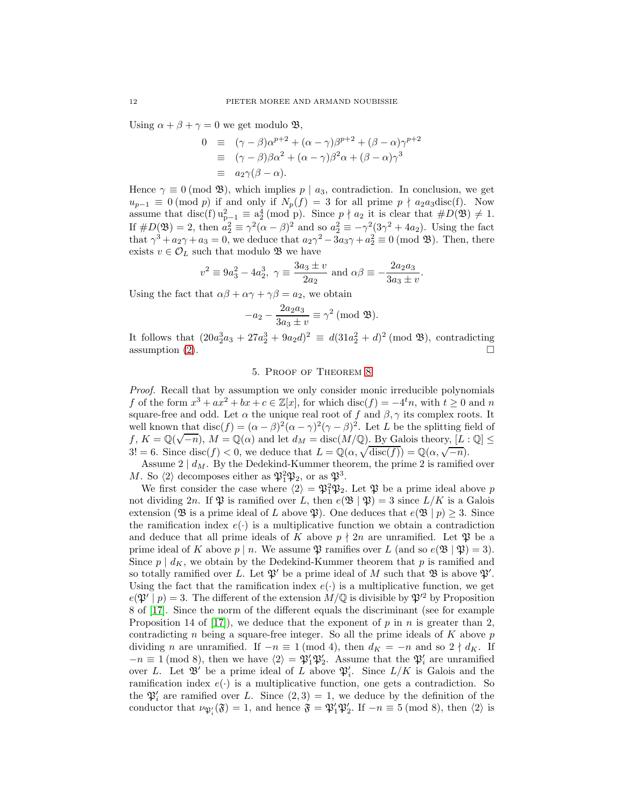Using  $\alpha + \beta + \gamma = 0$  we get modulo **B**,

$$
0 \equiv (\gamma - \beta)\alpha^{p+2} + (\alpha - \gamma)\beta^{p+2} + (\beta - \alpha)\gamma^{p+2}
$$
  
\n
$$
\equiv (\gamma - \beta)\beta\alpha^2 + (\alpha - \gamma)\beta^2\alpha + (\beta - \alpha)\gamma^3
$$
  
\n
$$
\equiv a_2\gamma(\beta - \alpha).
$$

Hence  $\gamma \equiv 0 \pmod{3}$ , which implies  $p \mid a_3$ , contradiction. In conclusion, we get  $u_{p-1} \equiv 0 \pmod{p}$  if and only if  $N_p(f) = 3$  for all prime  $p \nmid a_2a_3\text{disc}(f)$ . Now assume that disc(f)  $u_{p-1}^2 \equiv a_2^4 \pmod{p}$ . Since  $p \nmid a_2$  it is clear that  $\#D(\mathfrak{B}) \neq 1$ . If  $\#D(\mathfrak{B})=2$ , then  $a_2^2 \equiv \gamma^2(\alpha-\beta)^2$  and so  $a_2^2 \equiv -\gamma^2(3\gamma^2+4a_2)$ . Using the fact that  $\gamma^3 + a_2\gamma + a_3 = 0$ , we deduce that  $a_2\gamma^2 - 3a_3\gamma + a_2^2 \equiv 0 \pmod{3}$ . Then, there exists  $v \in \mathcal{O}_L$  such that modulo  $\mathfrak B$  we have

$$
v^2 \equiv 9a_3^2 - 4a_2^3
$$
,  $\gamma \equiv \frac{3a_3 \pm v}{2a_2}$  and  $\alpha\beta \equiv -\frac{2a_2a_3}{3a_3 \pm v}$ .

Using the fact that  $\alpha\beta + \alpha\gamma + \gamma\beta = a_2$ , we obtain

$$
-a_2 - \frac{2a_2a_3}{3a_3 \pm v} \equiv \gamma^2 \pmod{\mathfrak{B}}.
$$

It follows that  $(20a_2^3a_3 + 27a_2^3 + 9a_2d)^2 \equiv d(31a_2^2 + d)^2 \pmod{3}$ , contradicting assumption [\(2\)](#page-2-2).

## 5. Proof of Theorem [8](#page-3-0)

Proof. Recall that by assumption we only consider monic irreducible polynomials f of the form  $x^3 + ax^2 + bx + c \in \mathbb{Z}[x]$ , for which  $\text{disc}(f) = -4^t n$ , with  $t \geq 0$  and n square-free and odd. Let  $\alpha$  the unique real root of f and  $\beta$ ,  $\gamma$  its complex roots. It well known that disc(f) =  $(\alpha - \beta)^2(\alpha - \gamma)^2(\gamma - \beta)^2$ . Let L be the splitting field of  $f, K = \mathbb{Q}(\sqrt{-n}), M = \mathbb{Q}(\alpha)$  and let  $d_M = \text{disc}(M/\mathbb{Q})$ . By Galois theory,  $[L: \mathbb{Q}] \le$ 3! = 6. Since disc(f) < 0, we deduce that  $L = \mathbb{Q}(\alpha, \sqrt{\text{disc}(f)}) = \mathbb{Q}(\alpha, \sqrt{-n}).$ 

Assume  $2 \mid d_M$ . By the Dedekind-Kummer theorem, the prime 2 is ramified over M. So  $\langle 2 \rangle$  decomposes either as  $\mathfrak{P}_1^2 \mathfrak{P}_2$ , or as  $\mathfrak{P}^3$ .

We first consider the case where  $\langle 2 \rangle = \mathfrak{P}_1^2 \mathfrak{P}_2$ . Let  $\mathfrak{P}$  be a prime ideal above p not dividing 2n. If  $\mathfrak P$  is ramified over L, then  $e(\mathfrak B \mid \mathfrak P) = 3$  since  $L/K$  is a Galois extension (B is a prime ideal of L above  $\mathfrak{P}$ ). One deduces that  $e(\mathfrak{B} \mid p) \geq 3$ . Since the ramification index  $e(\cdot)$  is a multiplicative function we obtain a contradiction and deduce that all prime ideals of K above  $p \nmid 2n$  are unramified. Let  $\mathfrak{P}$  be a prime ideal of K above  $p | n$ . We assume  $\mathfrak P$  ramifies over L (and so  $e(\mathfrak B | \mathfrak P) = 3$ ). Since  $p \mid d_K$ , we obtain by the Dedekind-Kummer theorem that p is ramified and so totally ramified over L. Let  $\mathfrak{P}'$  be a prime ideal of M such that  $\mathfrak{B}$  is above  $\mathfrak{P}'.$ Using the fact that the ramification index  $e(\cdot)$  is a multiplicative function, we get  $e(\mathfrak{P}' | p) = 3$ . The different of the extension  $M/\mathbb{Q}$  is divisible by  $\mathfrak{P}'^2$  by Proposition 8 of [\[17\]](#page-17-20). Since the norm of the different equals the discriminant (see for example Proposition 14 of [\[17\]](#page-17-20)), we deduce that the exponent of p in n is greater than 2, contradicting n being a square-free integer. So all the prime ideals of  $K$  above  $p$ dividing n are unramified. If  $-n \equiv 1 \pmod{4}$ , then  $d_K = -n$  and so  $2 \nmid d_K$ . If  $-n \equiv 1 \pmod{8}$ , then we have  $\langle 2 \rangle = \mathfrak{P}'_1 \mathfrak{P}'_2$ . Assume that the  $\mathfrak{P}'_i$  are unramified over L. Let  $\mathfrak{B}'$  be a prime ideal of L above  $\mathfrak{P}'_i$ . Since  $L/K$  is Galois and the ramification index  $e(\cdot)$  is a multiplicative function, one gets a contradiction. So the  $\mathfrak{P}'_i$  are ramified over L. Since  $(2,3) = 1$ , we deduce by the definition of the conductor that  $\nu_{\mathfrak{P}'_i}(\mathfrak{F}) = 1$ , and hence  $\mathfrak{F} = \mathfrak{P}'_1 \mathfrak{P}'_2$ . If  $-n \equiv 5 \pmod{8}$ , then  $\langle 2 \rangle$  is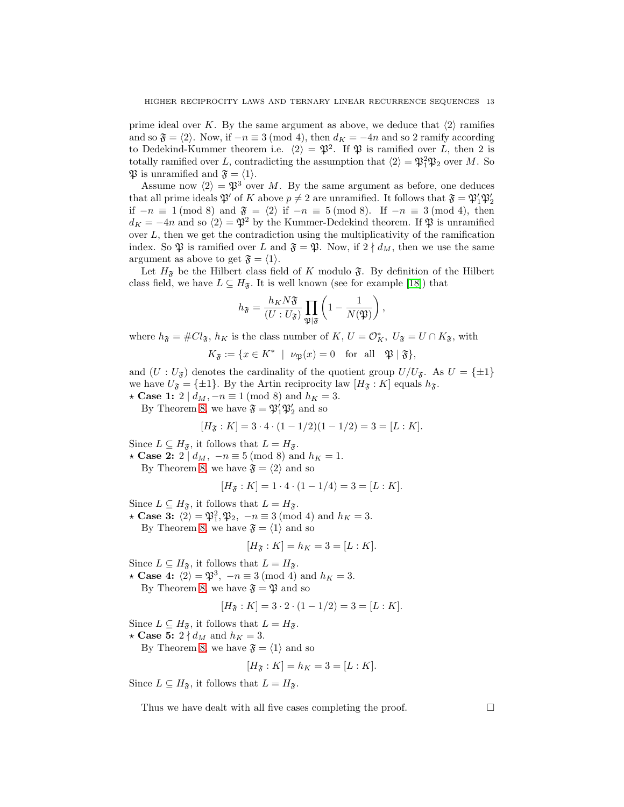prime ideal over K. By the same argument as above, we deduce that  $\langle 2 \rangle$  ramifies and so  $\mathfrak{F} = \langle 2 \rangle$ . Now, if  $-n \equiv 3 \pmod{4}$ , then  $d_K = -4n$  and so 2 ramify according to Dedekind-Kummer theorem i.e.  $\langle 2 \rangle = \mathfrak{P}^2$ . If  $\mathfrak{P}$  is ramified over L, then 2 is totally ramified over L, contradicting the assumption that  $\langle 2 \rangle = \mathfrak{P}_1^2 \mathfrak{P}_2$  over M. So  $\mathfrak{P}$  is unramified and  $\mathfrak{F} = \langle 1 \rangle$ .

Assume now  $\langle 2 \rangle = \mathfrak{P}^3$  over M. By the same argument as before, one deduces that all prime ideals  $\mathfrak{P}'$  of K above  $p \neq 2$  are unramified. It follows that  $\mathfrak{F} = \mathfrak{P}'_1 \mathfrak{P}'_2$ if  $-n \equiv 1 \pmod{8}$  and  $\mathfrak{F} = \langle 2 \rangle$  if  $-n \equiv 5 \pmod{8}$ . If  $-n \equiv 3 \pmod{4}$ , then  $d_K = -4n$  and so  $\langle 2 \rangle = \mathfrak{P}^2$  by the Kummer-Dedekind theorem. If  $\mathfrak{P}$  is unramified over  $L$ , then we get the contradiction using the multiplicativity of the ramification index. So  $\mathfrak P$  is ramified over L and  $\mathfrak F = \mathfrak P$ . Now, if  $2 \nmid d_M$ , then we use the same argument as above to get  $\mathfrak{F} = \langle 1 \rangle$ .

Let  $H_{\mathfrak{F}}$  be the Hilbert class field of K modulo  $\mathfrak{F}$ . By definition of the Hilbert class field, we have  $L \subseteq H_{\mathfrak{F}}$ . It is well known (see for example [\[18\]](#page-17-15)) that

$$
h_{\mathfrak{F}} = \frac{h_K N \mathfrak{F}}{(U:U_{\mathfrak{F}})} \prod_{\mathfrak{P}|\mathfrak{F}} \left(1 - \frac{1}{N(\mathfrak{P})}\right),
$$

where  $h_{\mathfrak{F}} = \# Cl_{\mathfrak{F}}$ ,  $h_K$  is the class number of  $K, U = \mathcal{O}_K^*$ ,  $U_{\mathfrak{F}} = U \cap K_{\mathfrak{F}}$ , with

 $K_{\mathfrak{F}} := \{ x \in K^* \mid \nu_{\mathfrak{P}}(x) = 0 \text{ for all } \mathfrak{P} \mid \mathfrak{F} \},$ 

and  $(U: U_{\mathfrak{F}})$  denotes the cardinality of the quotient group  $U/U_{\mathfrak{F}}$ . As  $U = {\pm 1}$ we have  $U_{\mathfrak{F}} = {\pm 1}$ . By the Artin reciprocity law  $[H_{\mathfrak{F}} : K]$  equals  $h_{\mathfrak{F}}$ .  $\star$  Case 1: 2 |  $d_M$ , −n ≡ 1 (mod 8) and  $h_K = 3$ .

By Theorem [8,](#page-3-0) we have  $\mathfrak{F} = \mathfrak{P}'_1 \mathfrak{P}'_2$  and so

$$
[H_{\mathfrak{F}}:K] = 3 \cdot 4 \cdot (1 - 1/2)(1 - 1/2) = 3 = [L:K].
$$

Since  $L \subseteq H_{\mathfrak{F}}$ , it follows that  $L = H_{\mathfrak{F}}$ .

 $\star$  Case 2: 2 |  $d_M$ ,  $-n \equiv 5 \pmod{8}$  and  $h_K = 1$ .

By Theorem [8,](#page-3-0) we have  $\mathfrak{F} = \langle 2 \rangle$  and so

$$
[H_{\mathfrak{F}}:K] = 1 \cdot 4 \cdot (1 - 1/4) = 3 = [L:K].
$$

Since  $L \subseteq H_{\mathfrak{F}}$ , it follows that  $L = H_{\mathfrak{F}}$ .

 $\star$  Case 3:  $\langle 2 \rangle = \mathfrak{P}_1^2, \mathfrak{P}_2, -n \equiv 3 \pmod{4}$  and  $h_K = 3$ .

By Theorem [8,](#page-3-0) we have  $\mathfrak{F} = \langle 1 \rangle$  and so

$$
[H_{\mathfrak{F}} : K] = h_K = 3 = [L : K].
$$

Since  $L \subseteq H_{\mathfrak{F}}$ , it follows that  $L = H_{\mathfrak{F}}$ .

 $\star$  Case 4:  $\langle 2 \rangle = \mathfrak{P}^3$ ,  $-n \equiv 3 \pmod{4}$  and  $h_K = 3$ .

By Theorem [8,](#page-3-0) we have  $\mathfrak{F} = \mathfrak{P}$  and so

$$
[H_{\mathfrak{F}}:K] = 3 \cdot 2 \cdot (1 - 1/2) = 3 = [L:K].
$$

Since  $L \subseteq H_{\mathfrak{F}}$ , it follows that  $L = H_{\mathfrak{F}}$ .

★ Case 5:  $2 \nmid d_M$  and  $h_K = 3$ .

By Theorem [8,](#page-3-0) we have  $\mathfrak{F} = \langle 1 \rangle$  and so

$$
[H_{\mathfrak{F}} : K] = h_K = 3 = [L : K].
$$

Since  $L \subseteq H_{\mathfrak{F}}$ , it follows that  $L = H_{\mathfrak{F}}$ .

Thus we have dealt with all five cases completing the proof.  $\Box$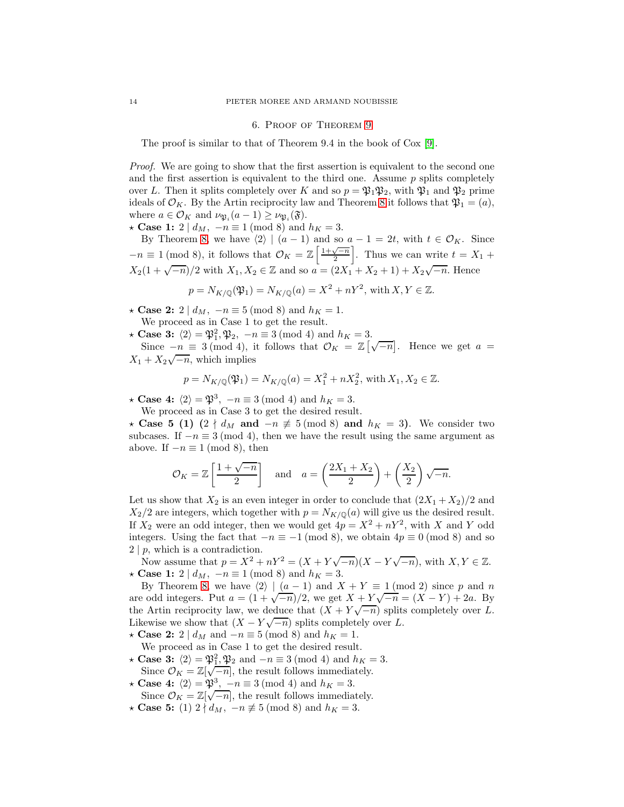#### 6. Proof of Theorem [9](#page-4-2)

The proof is similar to that of Theorem 9.4 in the book of Cox [\[9\]](#page-17-9).

Proof. We are going to show that the first assertion is equivalent to the second one and the first assertion is equivalent to the third one. Assume  $p$  splits completely over L. Then it splits completely over K and so  $p = \mathfrak{P}_1 \mathfrak{P}_2$ , with  $\mathfrak{P}_1$  and  $\mathfrak{P}_2$  prime ideals of  $\mathcal{O}_K$ . By the Artin reciprocity law and Theorem [8](#page-3-0) it follows that  $\mathfrak{P}_1 = (a)$ , where  $a \in \mathcal{O}_K$  and  $\nu_{\mathfrak{P}_i}(a-1) \geq \nu_{\mathfrak{P}_i}(\mathfrak{F}).$ 

 $\star$  Case 1: 2 |  $d_M$ , −n ≡ 1 (mod 8) and  $h_K = 3$ .

By Theorem [8,](#page-3-0) we have  $\langle 2 \rangle | (a - 1)$  and so  $a - 1 = 2t$ , with  $t \in \mathcal{O}_K$ . Since  $-n \equiv 1 \pmod{8}$ , it follows that  $\mathcal{O}_K = \mathbb{Z}\left[\frac{1+\sqrt{-n}}{2}\right]$ . Thus we can write  $t = X_1 +$  $X_2(1+\sqrt{-n})/2$  with  $X_1, X_2 \in \mathbb{Z}$  and so  $a = (2X_1 + X_2 + 1) + X_2\sqrt{-n}$ . Hence

$$
p = N_{K/\mathbb{Q}}(\mathfrak{P}_1) = N_{K/\mathbb{Q}}(a) = X^2 + nY^2
$$
, with  $X, Y \in \mathbb{Z}$ .

 $\star$  Case 2: 2 |  $d_M$ , −n ≡ 5 (mod 8) and  $h_K = 1$ .

We proceed as in Case 1 to get the result.

 $\star$  Case 3:  $\langle 2 \rangle = \mathfrak{P}_1^2, \mathfrak{P}_2, -n \equiv 3 \pmod{4}$  and  $h_K = 3$ .

Since  $-n \equiv 3 \pmod{4}$ , it follows that  $\mathcal{O}_K = \mathbb{Z} \left[ \sqrt{-n} \right]$ . Hence we get  $a =$  $X_1 + X_2 \sqrt{-n}$ , which implies

$$
p = N_{K/\mathbb{Q}}(\mathfrak{P}_1) = N_{K/\mathbb{Q}}(a) = X_1^2 + nX_2^2
$$
, with  $X_1, X_2 \in \mathbb{Z}$ .

 $\star$  Case 4:  $\langle 2 \rangle = \mathfrak{P}^3$ ,  $-n \equiv 3 \pmod{4}$  and  $h_K = 3$ .

We proceed as in Case 3 to get the desired result.

★ Case 5 (1)  $(2 \nmid d_M \text{ and } -n \neq 5 \pmod{8} \text{ and } h_K = 3)$ . We consider two subcases. If  $-n \equiv 3 \pmod{4}$ , then we have the result using the same argument as above. If  $-n \equiv 1 \pmod{8}$ , then

$$
\mathcal{O}_K = \mathbb{Z}\left[\frac{1+\sqrt{-n}}{2}\right]
$$
 and  $a = \left(\frac{2X_1+X_2}{2}\right) + \left(\frac{X_2}{2}\right)\sqrt{-n}$ .

Let us show that  $X_2$  is an even integer in order to conclude that  $(2X_1 + X_2)/2$  and  $X_2/2$  are integers, which together with  $p = N_{K/0}(a)$  will give us the desired result. If  $X_2$  were an odd integer, then we would get  $4p = X^2 + nY^2$ , with X and Y odd integers. Using the fact that  $-n \equiv -1 \pmod{8}$ , we obtain  $4p \equiv 0 \pmod{8}$  and so  $2 | p$ , which is a contradiction.

Now assume that  $p = X^2 + nY^2 = (X + Y\sqrt{-n})(X - Y\sqrt{-n})$ , with  $X, Y \in \mathbb{Z}$ . ★ Case 1: 2 |  $d_M$ ,  $-n \equiv 1 \pmod{8}$  and  $h_K = 3$ .

By Theorem [8,](#page-3-0) we have  $\langle 2 \rangle | (a - 1)$  and  $X + Y \equiv 1 \pmod{2}$  since p and n are odd integers. Put  $a = (1 + \sqrt{-n})/2$ , we get  $X + Y\sqrt{-n} = (X - Y) + 2a$ . By the Artin reciprocity law, we deduce that  $(X + Y\sqrt{-n})$  splits completely over L. Likewise we show that  $(X - Y\sqrt{-n})$  splits completely over L.

 $\star$  Case 2: 2 | d<sub>M</sub> and −n ≡ 5 (mod 8) and h<sub>K</sub> = 1.

- We proceed as in Case 1 to get the desired result. **★ Case 3:**  $\langle 2 \rangle = \mathfrak{P}_1^2, \mathfrak{P}_2$  and  $-n \equiv 3 \pmod{4}$  and  $h_K = 3$ .
- Since  $\mathcal{O}_K = \mathbb{Z}[\sqrt{-n}]$ , the result follows immediately.
- $\star$  Case 4:  $\langle 2 \rangle = \mathfrak{P}^3$ ,  $-n \equiv 3 \pmod{4}$  and  $h_K = 3$ . Since  $\mathcal{O}_K = \mathbb{Z}[\sqrt{-n}]$ , the result follows immediately.
- $\star$  Case 5: (1) 2  $\nmid d_M$ , −n  $\not\equiv$  5 (mod 8) and  $h_K = 3$ .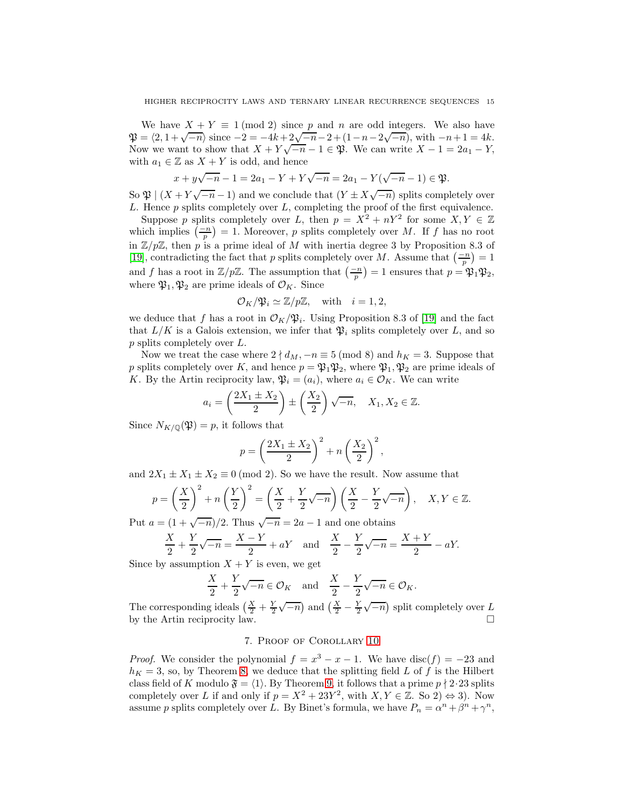We have  $X + Y \equiv 1 \pmod{2}$  since p and n are odd integers. We also have  $\mathfrak{P} = \langle 2, 1 + \sqrt{-n} \rangle$  since  $-2 = -4k + 2\sqrt{-n-2} + (1-n-2\sqrt{-n})$ , with  $-n+1 = 4k$ . Now we want to show that  $X + Y\sqrt{-n-1} \in \mathfrak{P}$ . We can write  $X - 1 = 2a_1 - Y$ , with  $a_1 \in \mathbb{Z}$  as  $X + Y$  is odd, and hence

$$
x + y\sqrt{-n} - 1 = 2a_1 - Y + Y\sqrt{-n} = 2a_1 - Y(\sqrt{-n} - 1) \in \mathfrak{P}.
$$

So  $\mathfrak{P} \mid (X+Y\sqrt{-n}-1)$  and we conclude that  $(Y \pm X\sqrt{-n})$  splits completely over  $L$ . Hence  $p$  splits completely over  $L$ , completing the proof of the first equivalence.

Suppose p splits completely over L, then  $p = X^2 + nY^2$  for some  $X, Y \in \mathbb{Z}$ which implies  $\left(\frac{-n}{p}\right) = 1$ . Moreover, p splits completely over M. If f has no root in  $\mathbb{Z}/p\mathbb{Z}$ , then p is a prime ideal of M with inertia degree 3 by Proposition 8.3 of [\[19\]](#page-17-17), contradicting the fact that p splits completely over M. Assume that  $\left(\frac{-n}{p}\right) = 1$ and f has a root in  $\mathbb{Z}/p\mathbb{Z}$ . The assumption that  $\left(\frac{-n}{p}\right) = 1$  ensures that  $p = \mathfrak{P}_1 \mathfrak{P}_2$ , where  $\mathfrak{P}_1, \mathfrak{P}_2$  are prime ideals of  $\mathcal{O}_K$ . Since

$$
\mathcal{O}_K/\mathfrak{P}_i \simeq \mathbb{Z}/p\mathbb{Z}
$$
, with  $i = 1, 2$ ,

we deduce that f has a root in  $\mathcal{O}_K/\mathfrak{P}_i$ . Using Proposition 8.3 of [\[19\]](#page-17-17) and the fact that  $L/K$  is a Galois extension, we infer that  $\mathfrak{P}_i$  splits completely over L, and so p splits completely over L.

Now we treat the case where  $2 \nmid d_M, -n \equiv 5 \pmod{8}$  and  $h_K = 3$ . Suppose that p splits completely over K, and hence  $p = \mathfrak{P}_1 \mathfrak{P}_2$ , where  $\mathfrak{P}_1, \mathfrak{P}_2$  are prime ideals of K. By the Artin reciprocity law,  $\mathfrak{P}_i = (a_i)$ , where  $a_i \in \mathcal{O}_K$ . We can write

$$
a_i = \left(\frac{2X_1 \pm X_2}{2}\right) \pm \left(\frac{X_2}{2}\right)\sqrt{-n}, \quad X_1, X_2 \in \mathbb{Z}.
$$

Since  $N_{K/\mathbb{Q}}(\mathfrak{P})=p$ , it follows that

$$
p = \left(\frac{2X_1 \pm X_2}{2}\right)^2 + n\left(\frac{X_2}{2}\right)^2,
$$

and  $2X_1 \pm X_1 \pm X_2 \equiv 0 \pmod{2}$ . So we have the result. Now assume that

$$
p = \left(\frac{X}{2}\right)^2 + n\left(\frac{Y}{2}\right)^2 = \left(\frac{X}{2} + \frac{Y}{2}\sqrt{-n}\right)\left(\frac{X}{2} - \frac{Y}{2}\sqrt{-n}\right), \quad X, Y \in \mathbb{Z}.
$$

Put  $a = \frac{1 + \sqrt{-n}}{2}$ . Thus  $\sqrt{-n} = 2a - 1$  and one obtains

$$
\frac{X}{2} + \frac{Y}{2}\sqrt{-n} = \frac{X - Y}{2} + aY \text{ and } \frac{X}{2} - \frac{Y}{2}\sqrt{-n} = \frac{X + Y}{2} - aY.
$$

Since by assumption  $X + Y$  is even, we get

$$
\frac{X}{2} + \frac{Y}{2}\sqrt{-n} \in \mathcal{O}_K \quad \text{and} \quad \frac{X}{2} - \frac{Y}{2}\sqrt{-n} \in \mathcal{O}_K.
$$

The corresponding ideals  $\left(\frac{X}{2} + \frac{Y}{2}\sqrt{-n}\right)$  and  $\left(\frac{X}{2} - \frac{Y}{2}\sqrt{-n}\right)$  split completely over L by the Artin reciprocity law.

## 7. Proof of Corollary [10](#page-5-1)

*Proof.* We consider the polynomial  $f = x^3 - x - 1$ . We have disc(f) = -23 and  $h_K = 3$ , so, by Theorem [8,](#page-3-0) we deduce that the splitting field L of f is the Hilbert class field of K modulo  $\mathfrak{F} = \langle 1 \rangle$ . By Theorem [9,](#page-4-2) it follows that a prime  $p \nmid 2.23$  splits completely over L if and only if  $p = X^2 + 23Y^2$ , with  $X, Y \in \mathbb{Z}$ . So 2)  $\Leftrightarrow$  3). Now assume p splits completely over L. By Binet's formula, we have  $P_n = \alpha^n + \beta^n + \gamma^n$ ,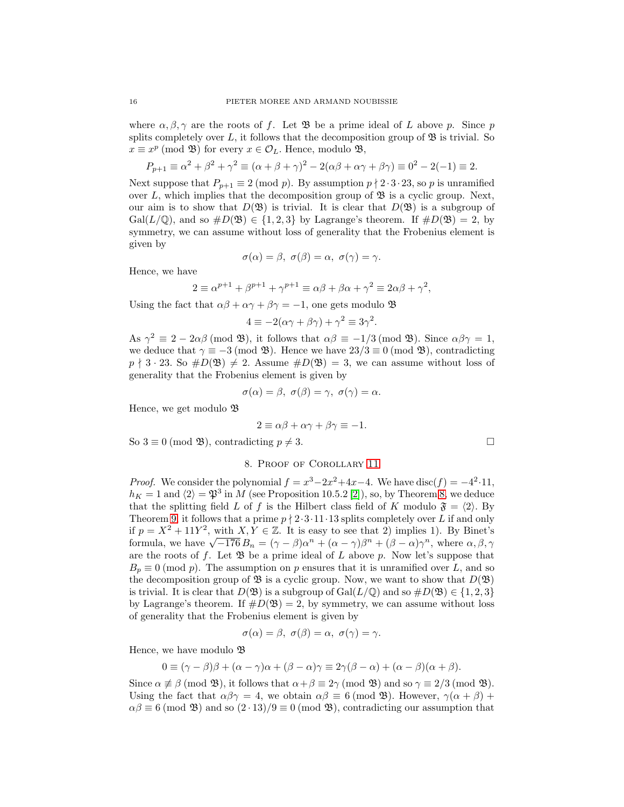where  $\alpha, \beta, \gamma$  are the roots of f. Let  $\mathfrak{B}$  be a prime ideal of L above p. Since p splits completely over L, it follows that the decomposition group of  $\mathfrak{B}$  is trivial. So  $x \equiv x^p \pmod{\mathfrak{B}}$  for every  $x \in \mathcal{O}_L$ . Hence, modulo  $\mathfrak{B}$ ,

$$
P_{p+1} \equiv \alpha^2 + \beta^2 + \gamma^2 \equiv (\alpha + \beta + \gamma)^2 - 2(\alpha\beta + \alpha\gamma + \beta\gamma) \equiv 0^2 - 2(-1) \equiv 2.
$$

Next suppose that  $P_{p+1} \equiv 2 \pmod{p}$ . By assumption  $p \nmid 2 \cdot 3 \cdot 23$ , so p is unramified over L, which implies that the decomposition group of  $\mathfrak{B}$  is a cyclic group. Next, our aim is to show that  $D(\mathfrak{B})$  is trivial. It is clear that  $D(\mathfrak{B})$  is a subgroup of  $Gal(L/\mathbb{Q})$ , and so  $\#D(\mathfrak{B}) \in \{1,2,3\}$  by Lagrange's theorem. If  $\#D(\mathfrak{B}) = 2$ , by symmetry, we can assume without loss of generality that the Frobenius element is given by

$$
\sigma(\alpha)=\beta, \ \sigma(\beta)=\alpha, \ \sigma(\gamma)=\gamma.
$$

Hence, we have

$$
2 \equiv \alpha^{p+1} + \beta^{p+1} + \gamma^{p+1} \equiv \alpha\beta + \beta\alpha + \gamma^2 \equiv 2\alpha\beta + \gamma^2,
$$

Using the fact that  $\alpha\beta + \alpha\gamma + \beta\gamma = -1$ , one gets modulo  $\mathfrak{B}$ 

$$
4 \equiv -2(\alpha \gamma + \beta \gamma) + \gamma^2 \equiv 3\gamma^2.
$$

As  $\gamma^2 \equiv 2 - 2\alpha\beta \pmod{\mathfrak{B}}$ , it follows that  $\alpha\beta \equiv -1/3 \pmod{\mathfrak{B}}$ . Since  $\alpha\beta\gamma = 1$ , we deduce that  $\gamma \equiv -3 \pmod{3}$ . Hence we have  $23/3 \equiv 0 \pmod{3}$ , contradicting  $p \nmid 3 \cdot 23$ . So  $\#D(\mathfrak{B}) \neq 2$ . Assume  $\#D(\mathfrak{B}) = 3$ , we can assume without loss of generality that the Frobenius element is given by

$$
\sigma(\alpha)=\beta, \ \sigma(\beta)=\gamma, \ \sigma(\gamma)=\alpha.
$$

Hence, we get modulo B

$$
2 \equiv \alpha \beta + \alpha \gamma + \beta \gamma \equiv -1.
$$

So  $3 \equiv 0 \pmod{3}$ , contradicting  $p \neq 3$ .

## 8. Proof of Corollary [11](#page-5-2)

*Proof.* We consider the polynomial  $f = x^3 - 2x^2 + 4x - 4$ . We have disc(f) = -4<sup>2</sup>.11,  $h_K = 1$  and  $\langle 2 \rangle = \mathfrak{P}^3$  in M (see Proposition 10.5.2 [\[2\]](#page-17-16)), so, by Theorem [8,](#page-3-0) we deduce that the splitting field L of f is the Hilbert class field of K modulo  $\mathfrak{F} = \langle 2 \rangle$ . By Theorem [9,](#page-4-2) it follows that a prime  $p \nmid 2 \cdot 3 \cdot 11 \cdot 13$  splits completely over L if and only if  $p = X^2 + 11Y^2$ , with  $X, Y \in \mathbb{Z}$ . It is easy to see that 2) implies 1). By Binet's formula, we have  $\sqrt{-176}B_n = (\gamma - \beta)\alpha^n + (\alpha - \gamma)\beta^n + (\beta - \alpha)\gamma^n$ , where  $\alpha, \beta, \gamma$ are the roots of f. Let  $\mathfrak{B}$  be a prime ideal of L above p. Now let's suppose that  $B_p \equiv 0 \pmod{p}$ . The assumption on p ensures that it is unramified over L, and so the decomposition group of  $\mathfrak{B}$  is a cyclic group. Now, we want to show that  $D(\mathfrak{B})$ is trivial. It is clear that  $D(\mathfrak{B})$  is a subgroup of Gal( $L/\mathbb{Q}$ ) and so  $\#D(\mathfrak{B}) \in \{1,2,3\}$ by Lagrange's theorem. If  $\#D(\mathfrak{B})=2$ , by symmetry, we can assume without loss of generality that the Frobenius element is given by

$$
\sigma(\alpha) = \beta, \ \sigma(\beta) = \alpha, \ \sigma(\gamma) = \gamma.
$$

Hence, we have modulo  $\mathfrak{B}$ 

$$
0 \equiv (\gamma - \beta)\beta + (\alpha - \gamma)\alpha + (\beta - \alpha)\gamma \equiv 2\gamma(\beta - \alpha) + (\alpha - \beta)(\alpha + \beta).
$$

Since  $\alpha \not\equiv \beta \pmod{3}$ , it follows that  $\alpha + \beta \equiv 2\gamma \pmod{3}$  and so  $\gamma \equiv 2/3 \pmod{3}$ . Using the fact that  $\alpha\beta\gamma = 4$ , we obtain  $\alpha\beta \equiv 6 \pmod{3}$ . However,  $\gamma(\alpha + \beta)$  +  $\alpha\beta \equiv 6 \pmod{32}$  and so  $(2 \cdot 13)/9 \equiv 0 \pmod{32}$ , contradicting our assumption that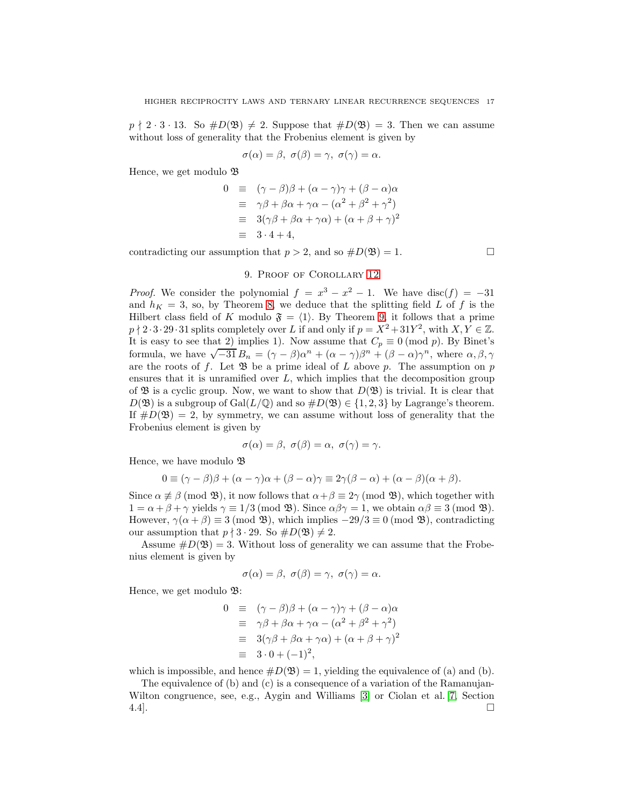$p \nmid 2 \cdot 3 \cdot 13$ . So  $\#D(\mathfrak{B}) \neq 2$ . Suppose that  $\#D(\mathfrak{B})=3$ . Then we can assume without loss of generality that the Frobenius element is given by

$$
\sigma(\alpha) = \beta, \ \sigma(\beta) = \gamma, \ \sigma(\gamma) = \alpha.
$$

Hence, we get modulo  $\mathfrak B$ 

$$
0 \equiv (\gamma - \beta)\beta + (\alpha - \gamma)\gamma + (\beta - \alpha)\alpha
$$
  
\n
$$
\equiv \gamma\beta + \beta\alpha + \gamma\alpha - (\alpha^2 + \beta^2 + \gamma^2)
$$
  
\n
$$
\equiv 3(\gamma\beta + \beta\alpha + \gamma\alpha) + (\alpha + \beta + \gamma)^2
$$
  
\n
$$
\equiv 3 \cdot 4 + 4,
$$

contradicting our assumption that  $p > 2$ , and so  $\#D(\mathfrak{B}) = 1$ .

## 9. Proof of Corollary [12](#page-5-3)

*Proof.* We consider the polynomial  $f = x^3 - x^2 - 1$ . We have disc(f) = -31 and  $h_K = 3$ , so, by Theorem [8,](#page-3-0) we deduce that the splitting field L of f is the Hilbert class field of K modulo  $\mathfrak{F} = \langle 1 \rangle$ . By Theorem [9,](#page-4-2) it follows that a prime  $p \nmid 2 \cdot 3 \cdot 29 \cdot 31$  splits completely over L if and only if  $p = X^2 + 31Y^2$ , with  $X, Y \in \mathbb{Z}$ . It is easy to see that 2) implies 1). Now assume that  $C_p \equiv 0 \pmod{p}$ . By Binet's formula, we have  $\sqrt{-31} B_n = (\gamma - \beta)\alpha^n + (\alpha - \gamma)\beta^n + (\beta - \alpha)\gamma^n$ , where  $\alpha, \beta, \gamma$ are the roots of f. Let  $\mathfrak{B}$  be a prime ideal of L above p. The assumption on p ensures that it is unramified over  $L$ , which implies that the decomposition group of  $\mathfrak{B}$  is a cyclic group. Now, we want to show that  $D(\mathfrak{B})$  is trivial. It is clear that  $D(\mathfrak{B})$  is a subgroup of Gal( $L/\mathbb{Q}$ ) and so  $\#D(\mathfrak{B}) \in \{1,2,3\}$  by Lagrange's theorem. If  $#D(\mathfrak{B}) = 2$ , by symmetry, we can assume without loss of generality that the Frobenius element is given by

$$
\sigma(\alpha) = \beta, \ \sigma(\beta) = \alpha, \ \sigma(\gamma) = \gamma.
$$

Hence, we have modulo  $\mathfrak{B}$ 

$$
0 \equiv (\gamma - \beta)\beta + (\alpha - \gamma)\alpha + (\beta - \alpha)\gamma \equiv 2\gamma(\beta - \alpha) + (\alpha - \beta)(\alpha + \beta).
$$

Since  $\alpha \not\equiv \beta \pmod{\mathfrak{B}}$ , it now follows that  $\alpha + \beta \equiv 2\gamma \pmod{\mathfrak{B}}$ , which together with  $1 = \alpha + \beta + \gamma$  yields  $\gamma \equiv 1/3 \pmod{3}$ . Since  $\alpha\beta\gamma = 1$ , we obtain  $\alpha\beta \equiv 3 \pmod{3}$ . However,  $\gamma(\alpha + \beta) \equiv 3 \pmod{3}$ , which implies  $-29/3 \equiv 0 \pmod{3}$ , contradicting our assumption that  $p \nmid 3 \cdot 29$ . So  $\#D(\mathfrak{B}) \neq 2$ .

Assume  $\#D(\mathfrak{B})=3$ . Without loss of generality we can assume that the Frobenius element is given by

$$
\sigma(\alpha) = \beta, \ \sigma(\beta) = \gamma, \ \sigma(\gamma) = \alpha.
$$

Hence, we get modulo  $\mathfrak{B}$ :

$$
0 \equiv (\gamma - \beta)\beta + (\alpha - \gamma)\gamma + (\beta - \alpha)\alpha
$$
  
\n
$$
\equiv \gamma\beta + \beta\alpha + \gamma\alpha - (\alpha^2 + \beta^2 + \gamma^2)
$$
  
\n
$$
\equiv 3(\gamma\beta + \beta\alpha + \gamma\alpha) + (\alpha + \beta + \gamma)^2
$$
  
\n
$$
\equiv 3 \cdot 0 + (-1)^2,
$$

which is impossible, and hence  $\#D(\mathfrak{B})=1$ , yielding the equivalence of (a) and (b).

The equivalence of (b) and (c) is a consequence of a variation of the Ramanujan-Wilton congruence, see, e.g., Aygin and Williams [\[3\]](#page-17-19) or Ciolan et al. [\[7,](#page-17-21) Section 4.4].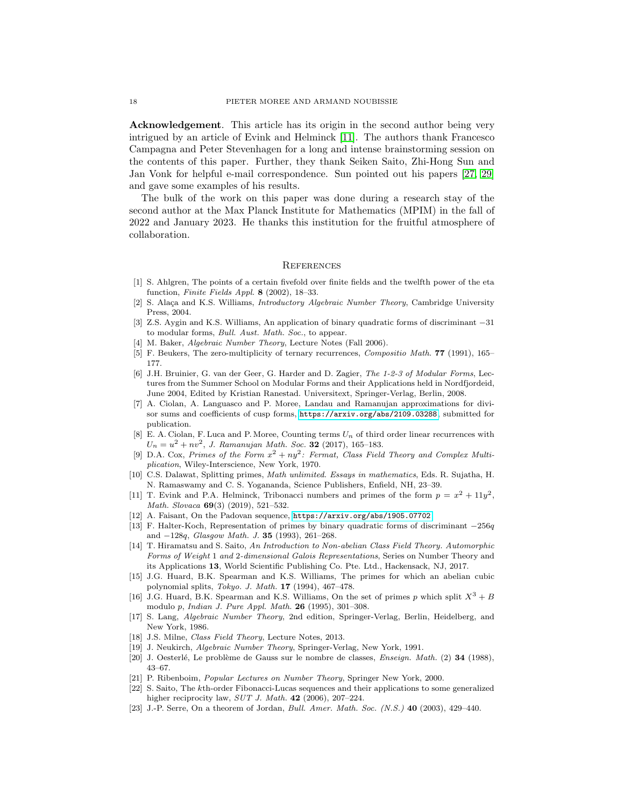Acknowledgement. This article has its origin in the second author being very intrigued by an article of Evink and Helminck [\[11\]](#page-17-0). The authors thank Francesco Campagna and Peter Stevenhagen for a long and intense brainstorming session on the contents of this paper. Further, they thank Seiken Saito, Zhi-Hong Sun and Jan Vonk for helpful e-mail correspondence. Sun pointed out his papers [\[27,](#page-18-3) [29\]](#page-18-4) and gave some examples of his results.

The bulk of the work on this paper was done during a research stay of the second author at the Max Planck Institute for Mathematics (MPIM) in the fall of 2022 and January 2023. He thanks this institution for the fruitful atmosphere of collaboration.

#### **REFERENCES**

- <span id="page-17-4"></span>[1] S. Ahlgren, The points of a certain fivefold over finite fields and the twelfth power of the eta function, *Finite Fields Appl.* 8 (2002), 18–33.
- <span id="page-17-16"></span>[2] S. Alaça and K.S. Williams, *Introductory Algebraic Number Theory*, Cambridge University Press, 2004.
- <span id="page-17-19"></span>[3] Z.S. Aygin and K.S. Williams, An application of binary quadratic forms of discriminant −31 to modular forms, *Bull. Aust. Math. Soc.*, to appear.
- <span id="page-17-13"></span><span id="page-17-12"></span>[4] M. Baker, *Algebraic Number Theory*, Lecture Notes (Fall 2006).
- <span id="page-17-3"></span>[5] F. Beukers, The zero-multiplicity of ternary recurrences, *Compositio Math.* 77 (1991), 165– 177.
- [6] J.H. Bruinier, G. van der Geer, G. Harder and D. Zagier, *The 1-2-3 of Modular Forms*, Lectures from the Summer School on Modular Forms and their Applications held in Nordfjordeid, June 2004, Edited by Kristian Ranestad. Universitext, Springer-Verlag, Berlin, 2008.
- <span id="page-17-21"></span>[7] A. Ciolan, A. Languasco and P. Moree, Landau and Ramanujan approximations for divisor sums and coefficients of cusp forms, <https://arxiv.org/abs/2109.03288>, submitted for publication.
- <span id="page-17-10"></span>[8] E. A. Ciolan, F. Luca and P. Moree, Counting terms  $U_n$  of third order linear recurrences with  $U_n = u^2 + nv^2$ , *J. Ramanujan Math. Soc.* 32 (2017), 165-183.
- <span id="page-17-9"></span>[9] D.A. Cox, *Primes of the Form*  $x^2 + ny^2$ : *Fermat, Class Field Theory and Complex Multiplication*, Wiley-Interscience, New York, 1970.
- <span id="page-17-8"></span>[10] C.S. Dalawat, Splitting primes, *Math unlimited. Essays in mathematics*, Eds. R. Sujatha, H. N. Ramaswamy and C. S. Yogananda, Science Publishers, Enfield, NH, 23–39.
- <span id="page-17-0"></span>[11] T. Evink and P.A. Helminck, Tribonacci numbers and primes of the form  $p = x^2 + 11y^2$ , *Math. Slovaca* 69(3) (2019), 521–532.
- <span id="page-17-6"></span><span id="page-17-1"></span>[12] A. Faisant, On the Padovan sequence, <https://arxiv.org/abs/1905.07702>
- [13] F. Halter-Koch, Representation of primes by binary quadratic forms of discriminant −256q and −128q, *Glasgow Math. J.* 35 (1993), 261–268.
- <span id="page-17-5"></span>[14] T. Hiramatsu and S. Saito, *An Introduction to Non-abelian Class Field Theory. Automorphic Forms of Weight* 1 *and* 2*-dimensional Galois Representations*, Series on Number Theory and its Applications 13, World Scientific Publishing Co. Pte. Ltd., Hackensack, NJ, 2017.
- <span id="page-17-14"></span>[15] J.G. Huard, B.K. Spearman and K.S. Williams, The primes for which an abelian cubic polynomial splits, *Tokyo. J. Math.* 17 (1994), 467–478.
- [16] J.G. Huard, B.K. Spearman and K.S. Williams, On the set of primes p which split  $X^3 + B$ modulo p, *Indian J. Pure Appl. Math.* 26 (1995), 301–308.
- <span id="page-17-20"></span>[17] S. Lang, *Algebraic Number Theory*, 2nd edition, Springer-Verlag, Berlin, Heidelberg, and New York, 1986.
- <span id="page-17-17"></span><span id="page-17-15"></span>[18] J.S. Milne, *Class Field Theory*, Lecture Notes, 2013.
- <span id="page-17-11"></span>[19] J. Neukirch, *Algebraic Number Theory*, Springer-Verlag, New York, 1991.
- [20] J. Oesterl´e, Le probl`eme de Gauss sur le nombre de classes, *Enseign. Math.* (2) 34 (1988), 43–67.
- <span id="page-17-18"></span><span id="page-17-7"></span>[21] P. Ribenboim, *Popular Lectures on Number Theory*, Springer New York, 2000.
- [22] S. Saito, The kth-order Fibonacci-Lucas sequences and their applications to some generalized higher reciprocity law, *SUT J. Math.* 42 (2006), 207–224.
- <span id="page-17-2"></span>[23] J.-P. Serre, On a theorem of Jordan, *Bull. Amer. Math. Soc. (N.S.)* 40 (2003), 429–440.